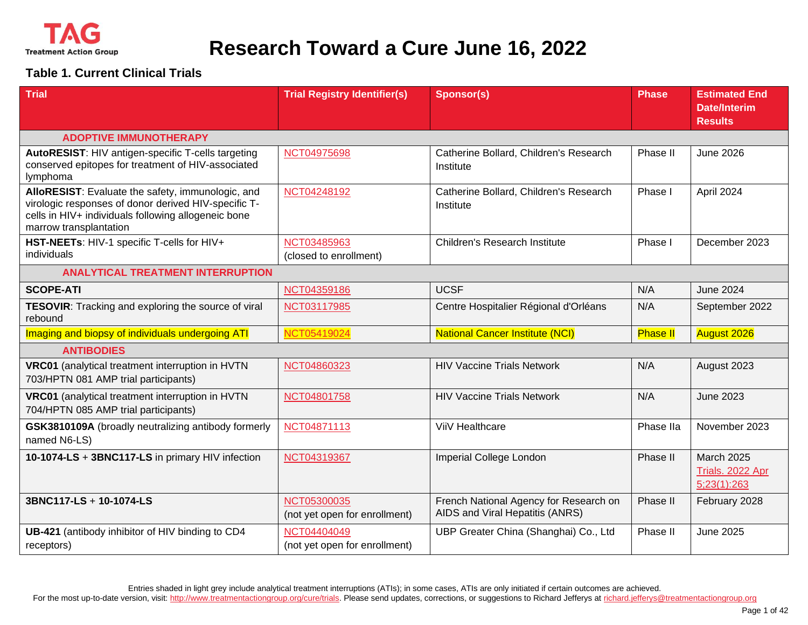

#### **Table 1. Current Clinical Trials**

| <b>Trial</b>                                                                                                                                                                               | <b>Trial Registry Identifier(s)</b>          | <b>Sponsor(s)</b>                                                         | <b>Phase</b>    | <b>Estimated End</b><br><b>Date/Interim</b><br><b>Results</b> |
|--------------------------------------------------------------------------------------------------------------------------------------------------------------------------------------------|----------------------------------------------|---------------------------------------------------------------------------|-----------------|---------------------------------------------------------------|
| <b>ADOPTIVE IMMUNOTHERAPY</b>                                                                                                                                                              |                                              |                                                                           |                 |                                                               |
| AutoRESIST: HIV antigen-specific T-cells targeting<br>conserved epitopes for treatment of HIV-associated<br>lymphoma                                                                       | NCT04975698                                  | Catherine Bollard, Children's Research<br>Institute                       | Phase II        | <b>June 2026</b>                                              |
| AlloRESIST: Evaluate the safety, immunologic, and<br>virologic responses of donor derived HIV-specific T-<br>cells in HIV+ individuals following allogeneic bone<br>marrow transplantation | NCT04248192                                  | Catherine Bollard, Children's Research<br>Institute                       | Phase I         | April 2024                                                    |
| HST-NEETs: HIV-1 specific T-cells for HIV+<br>individuals                                                                                                                                  | NCT03485963<br>(closed to enrollment)        | Children's Research Institute                                             | Phase I         | December 2023                                                 |
| <b>ANALYTICAL TREATMENT INTERRUPTION</b>                                                                                                                                                   |                                              |                                                                           |                 |                                                               |
| <b>SCOPE-ATI</b>                                                                                                                                                                           | NCT04359186                                  | <b>UCSF</b>                                                               | N/A             | <b>June 2024</b>                                              |
| TESOVIR: Tracking and exploring the source of viral<br>rebound                                                                                                                             | NCT03117985                                  | Centre Hospitalier Régional d'Orléans                                     | N/A             | September 2022                                                |
| Imaging and biopsy of individuals undergoing ATI                                                                                                                                           | NCT05419024                                  | <b>National Cancer Institute (NCI)</b>                                    | <b>Phase II</b> | <b>August 2026</b>                                            |
| <b>ANTIBODIES</b>                                                                                                                                                                          |                                              |                                                                           |                 |                                                               |
| VRC01 (analytical treatment interruption in HVTN<br>703/HPTN 081 AMP trial participants)                                                                                                   | NCT04860323                                  | <b>HIV Vaccine Trials Network</b>                                         | N/A             | August 2023                                                   |
| VRC01 (analytical treatment interruption in HVTN<br>704/HPTN 085 AMP trial participants)                                                                                                   | NCT04801758                                  | <b>HIV Vaccine Trials Network</b>                                         | N/A             | <b>June 2023</b>                                              |
| GSK3810109A (broadly neutralizing antibody formerly<br>named N6-LS)                                                                                                                        | NCT04871113                                  | ViiV Healthcare                                                           | Phase IIa       | November 2023                                                 |
| 10-1074-LS + 3BNC117-LS in primary HIV infection                                                                                                                                           | NCT04319367                                  | Imperial College London                                                   | Phase II        | <b>March 2025</b><br>Trials. 2022 Apr<br>5;23(1):263          |
| 3BNC117-LS + 10-1074-LS                                                                                                                                                                    | NCT05300035<br>(not yet open for enrollment) | French National Agency for Research on<br>AIDS and Viral Hepatitis (ANRS) | Phase II        | February 2028                                                 |
| UB-421 (antibody inhibitor of HIV binding to CD4<br>receptors)                                                                                                                             | NCT04404049<br>(not yet open for enrollment) | UBP Greater China (Shanghai) Co., Ltd                                     | Phase II        | <b>June 2025</b>                                              |

Entries shaded in light grey include analytical treatment interruptions (ATIs); in some cases, ATIs are only initiated if certain outcomes are achieved.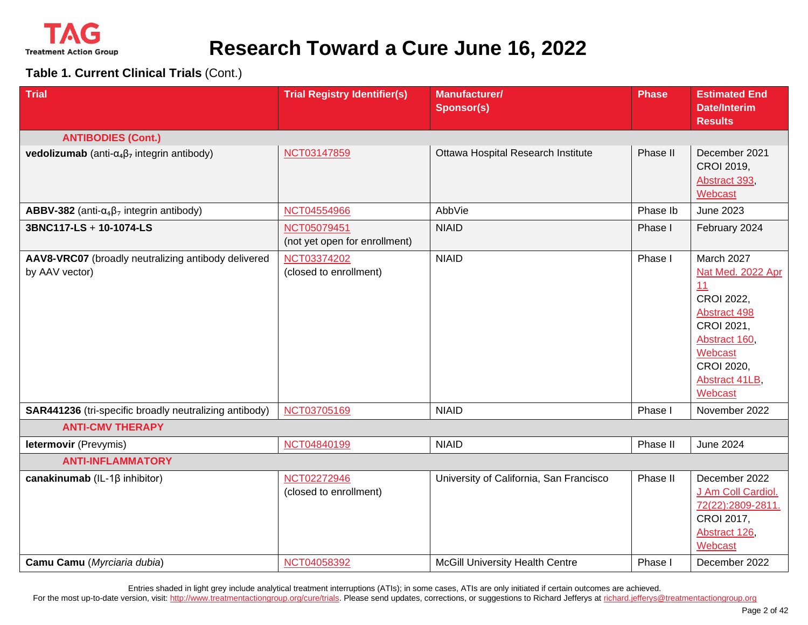

#### **Table 1. Current Clinical Trials** (Cont.)

| <b>Trial</b>                                                          | <b>Trial Registry Identifier(s)</b>                  | Manufacturer/<br><b>Sponsor(s)</b>                                                | <b>Phase</b>        | <b>Estimated End</b><br><b>Date/Interim</b><br><b>Results</b>                                                                                            |
|-----------------------------------------------------------------------|------------------------------------------------------|-----------------------------------------------------------------------------------|---------------------|----------------------------------------------------------------------------------------------------------------------------------------------------------|
| <b>ANTIBODIES (Cont.)</b>                                             |                                                      |                                                                                   |                     |                                                                                                                                                          |
| <b>vedolizumab</b> (anti- $\alpha_4\beta_7$ integrin antibody)        | NCT03147859                                          | Ottawa Hospital Research Institute                                                | Phase II            | December 2021<br>CROI 2019,<br>Abstract 393,<br>Webcast                                                                                                  |
| <b>ABBV-382</b> (anti- $\alpha_4\beta_7$ integrin antibody)           | NCT04554966                                          | AbbVie                                                                            | Phase Ib            | <b>June 2023</b>                                                                                                                                         |
| 3BNC117-LS + 10-1074-LS                                               | NCT05079451<br>(not yet open for enrollment)         | <b>NIAID</b>                                                                      | Phase I             | February 2024                                                                                                                                            |
| AAV8-VRC07 (broadly neutralizing antibody delivered<br>by AAV vector) | NCT03374202<br>(closed to enrollment)                | <b>NIAID</b>                                                                      | Phase I             | March 2027<br>Nat Med. 2022 Apr<br>11<br>CROI 2022,<br>Abstract 498<br>CROI 2021,<br>Abstract 160,<br>Webcast<br>CROI 2020,<br>Abstract 41LB,<br>Webcast |
| SAR441236 (tri-specific broadly neutralizing antibody)                | NCT03705169                                          | <b>NIAID</b>                                                                      | Phase I             | November 2022                                                                                                                                            |
| <b>ANTI-CMV THERAPY</b>                                               |                                                      |                                                                                   |                     |                                                                                                                                                          |
| letermovir (Prevymis)                                                 | NCT04840199                                          | <b>NIAID</b>                                                                      | Phase II            | <b>June 2024</b>                                                                                                                                         |
| <b>ANTI-INFLAMMATORY</b>                                              |                                                      |                                                                                   |                     |                                                                                                                                                          |
| canakinumab (IL-1 $\beta$ inhibitor)<br>Camu Camu (Myrciaria dubia)   | NCT02272946<br>(closed to enrollment)<br>NCT04058392 | University of California, San Francisco<br><b>McGill University Health Centre</b> | Phase II<br>Phase I | December 2022<br>J Am Coll Cardiol.<br>72(22):2809-2811.<br>CROI 2017,<br>Abstract 126,<br>Webcast<br>December 2022                                      |
|                                                                       |                                                      |                                                                                   |                     |                                                                                                                                                          |

Entries shaded in light grey include analytical treatment interruptions (ATIs); in some cases, ATIs are only initiated if certain outcomes are achieved.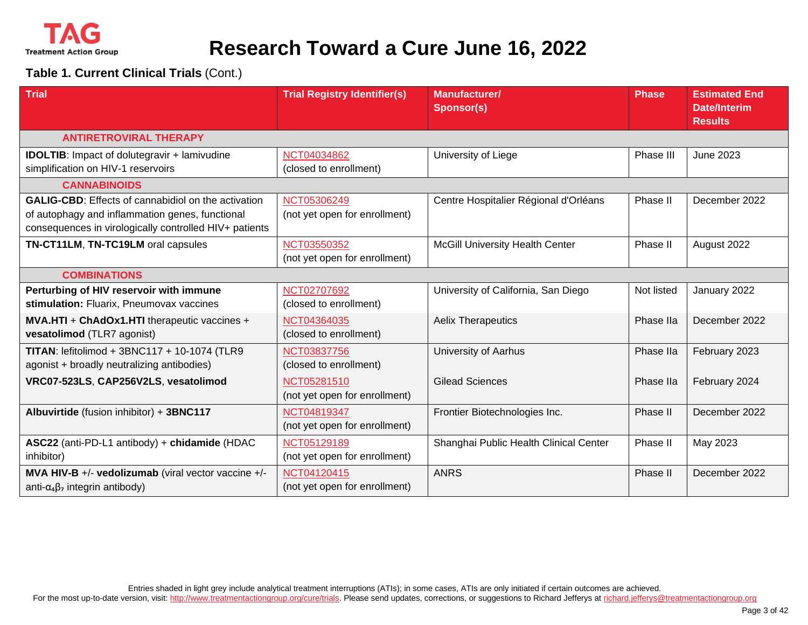

**Table 1. Current Clinical Trials** (Cont.)

| <b>Trial</b>                                                                                                                                                            | <b>Trial Registry Identifier(s)</b>          | <b>Manufacturer/</b><br><b>Sponsor(s)</b> | <b>Phase</b> | <b>Estimated End</b><br><b>Date/Interim</b><br><b>Results</b> |
|-------------------------------------------------------------------------------------------------------------------------------------------------------------------------|----------------------------------------------|-------------------------------------------|--------------|---------------------------------------------------------------|
| <b>ANTIRETROVIRAL THERAPY</b>                                                                                                                                           |                                              |                                           |              |                                                               |
| <b>IDOLTIB:</b> Impact of dolutegravir + lamivudine<br>simplification on HIV-1 reservoirs                                                                               | NCT04034862<br>(closed to enrollment)        | University of Liege                       | Phase III    | <b>June 2023</b>                                              |
| <b>CANNABINOIDS</b>                                                                                                                                                     |                                              |                                           |              |                                                               |
| <b>GALIG-CBD:</b> Effects of cannabidiol on the activation<br>of autophagy and inflammation genes, functional<br>consequences in virologically controlled HIV+ patients | NCT05306249<br>(not yet open for enrollment) | Centre Hospitalier Régional d'Orléans     | Phase II     | December 2022                                                 |
| TN-CT11LM, TN-TC19LM oral capsules                                                                                                                                      | NCT03550352<br>(not yet open for enrollment) | <b>McGill University Health Center</b>    | Phase II     | August 2022                                                   |
| <b>COMBINATIONS</b>                                                                                                                                                     |                                              |                                           |              |                                                               |
| Perturbing of HIV reservoir with immune<br>stimulation: Fluarix, Pneumovax vaccines                                                                                     | NCT02707692<br>(closed to enrollment)        | University of California, San Diego       | Not listed   | January 2022                                                  |
| MVA.HTI + ChAdOx1.HTI therapeutic vaccines +<br>vesatolimod (TLR7 agonist)                                                                                              | NCT04364035<br>(closed to enrollment)        | <b>Aelix Therapeutics</b>                 | Phase IIa    | December 2022                                                 |
| TITAN: lefitolimod + 3BNC117 + 10-1074 (TLR9<br>agonist + broadly neutralizing antibodies)                                                                              | NCT03837756<br>(closed to enrollment)        | <b>University of Aarhus</b>               | Phase IIa    | February 2023                                                 |
| VRC07-523LS, CAP256V2LS, vesatolimod                                                                                                                                    | NCT05281510<br>(not yet open for enrollment) | <b>Gilead Sciences</b>                    | Phase IIa    | February 2024                                                 |
| Albuvirtide (fusion inhibitor) + 3BNC117                                                                                                                                | NCT04819347<br>(not yet open for enrollment) | Frontier Biotechnologies Inc.             | Phase II     | December 2022                                                 |
| ASC22 (anti-PD-L1 antibody) + chidamide (HDAC<br>inhibitor)                                                                                                             | NCT05129189<br>(not yet open for enrollment) | Shanghai Public Health Clinical Center    | Phase II     | May 2023                                                      |
| MVA HIV-B +/- vedolizumab (viral vector vaccine +/-<br>anti- $\alpha_4\beta_7$ integrin antibody)                                                                       | NCT04120415<br>(not yet open for enrollment) | <b>ANRS</b>                               | Phase II     | December 2022                                                 |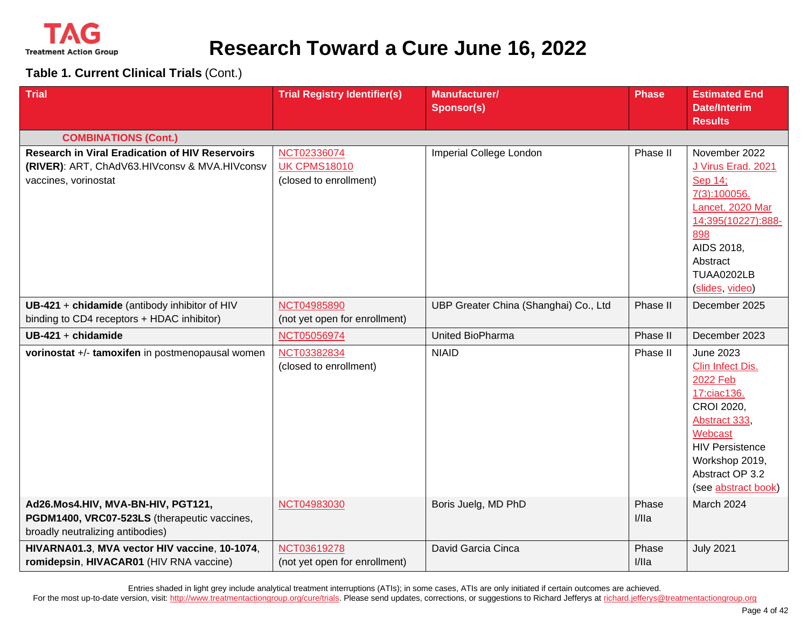

**Table 1. Current Clinical Trials** (Cont.)

| <b>Trial</b>                                                                                                                    | <b>Trial Registry Identifier(s)</b>                          | <b>Manufacturer/</b><br><b>Sponsor(s)</b> | Phase          | <b>Estimated End</b><br><b>Date/Interim</b><br><b>Results</b>                                                                                                                                   |
|---------------------------------------------------------------------------------------------------------------------------------|--------------------------------------------------------------|-------------------------------------------|----------------|-------------------------------------------------------------------------------------------------------------------------------------------------------------------------------------------------|
| <b>COMBINATIONS (Cont.)</b>                                                                                                     |                                                              |                                           |                |                                                                                                                                                                                                 |
| <b>Research in Viral Eradication of HIV Reservoirs</b><br>(RIVER): ART, ChAdV63.HIVconsv & MVA.HIVconsv<br>vaccines, vorinostat | NCT02336074<br><b>UK CPMS18010</b><br>(closed to enrollment) | Imperial College London                   | Phase II       | November 2022<br>J Virus Erad. 2021<br>Sep 14;<br>7(3):100056.<br>Lancet. 2020 Mar<br>14;395(10227):888-<br>898<br>AIDS 2018,<br>Abstract<br>TUAA0202LB<br>(slides, video)                      |
| UB-421 + chidamide (antibody inhibitor of HIV<br>binding to CD4 receptors + HDAC inhibitor)                                     | NCT04985890<br>(not yet open for enrollment)                 | UBP Greater China (Shanghai) Co., Ltd     | Phase II       | December 2025                                                                                                                                                                                   |
| UB-421 + chidamide                                                                                                              | NCT05056974                                                  | United BioPharma                          | Phase II       | December 2023                                                                                                                                                                                   |
| vorinostat +/- tamoxifen in postmenopausal women                                                                                | NCT03382834<br>(closed to enrollment)                        | <b>NIAID</b>                              | Phase II       | <b>June 2023</b><br>Clin Infect Dis.<br>2022 Feb<br>17:ciac136.<br>CROI 2020,<br>Abstract 333,<br>Webcast<br><b>HIV Persistence</b><br>Workshop 2019,<br>Abstract OP 3.2<br>(see abstract book) |
| Ad26.Mos4.HIV, MVA-BN-HIV, PGT121,<br>PGDM1400, VRC07-523LS (therapeutic vaccines,<br>broadly neutralizing antibodies)          | NCT04983030                                                  | Boris Juelg, MD PhD                       | Phase<br>I/IIa | March 2024                                                                                                                                                                                      |
| HIVARNA01.3, MVA vector HIV vaccine, 10-1074,<br>romidepsin, HIVACAR01 (HIV RNA vaccine)                                        | NCT03619278<br>(not yet open for enrollment)                 | David Garcia Cinca                        | Phase<br>I/IIa | <b>July 2021</b>                                                                                                                                                                                |

Entries shaded in light grey include analytical treatment interruptions (ATIs); in some cases, ATIs are only initiated if certain outcomes are achieved.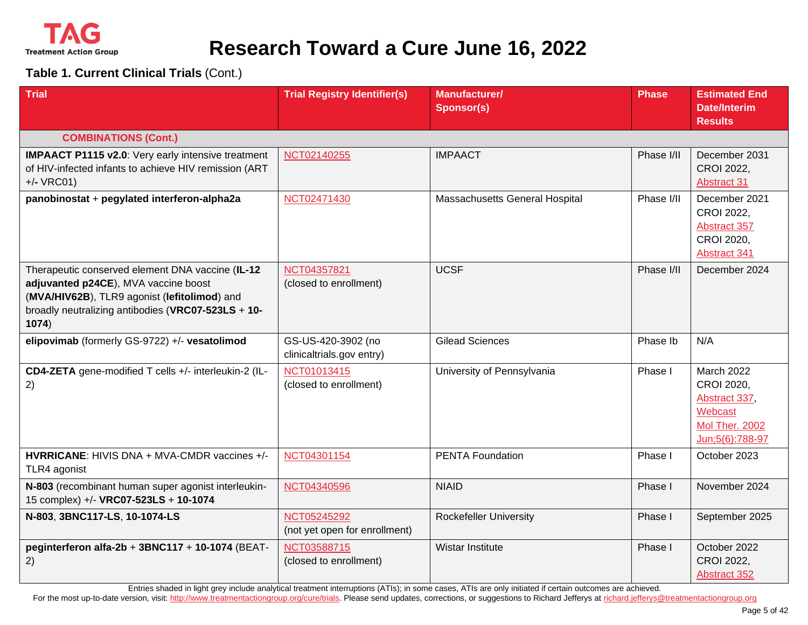

**Table 1. Current Clinical Trials** (Cont.)

| <b>Trial</b>                                                                                                                                                                                            | <b>Trial Registry Identifier(s)</b>             | <b>Manufacturer/</b><br>Sponsor(s) | <b>Phase</b> | <b>Estimated End</b><br><b>Date/Interim</b><br><b>Results</b>                             |
|---------------------------------------------------------------------------------------------------------------------------------------------------------------------------------------------------------|-------------------------------------------------|------------------------------------|--------------|-------------------------------------------------------------------------------------------|
| <b>COMBINATIONS (Cont.)</b>                                                                                                                                                                             |                                                 |                                    |              |                                                                                           |
| <b>IMPAACT P1115 v2.0:</b> Very early intensive treatment<br>of HIV-infected infants to achieve HIV remission (ART<br>$+/-$ VRC01)                                                                      | NCT02140255                                     | <b>IMPAACT</b>                     | Phase I/II   | December 2031<br>CROI 2022,<br><b>Abstract 31</b>                                         |
| panobinostat + pegylated interferon-alpha2a                                                                                                                                                             | NCT02471430                                     | Massachusetts General Hospital     | Phase I/II   | December 2021<br>CROI 2022,<br>Abstract 357<br>CROI 2020,<br>Abstract 341                 |
| Therapeutic conserved element DNA vaccine (IL-12<br>adjuvanted p24CE), MVA vaccine boost<br>(MVA/HIV62B), TLR9 agonist (lefitolimod) and<br>broadly neutralizing antibodies (VRC07-523LS + 10-<br>1074) | NCT04357821<br>(closed to enrollment)           | <b>UCSF</b>                        | Phase I/II   | December 2024                                                                             |
| elipovimab (formerly GS-9722) +/- vesatolimod                                                                                                                                                           | GS-US-420-3902 (no<br>clinicaltrials.gov entry) | <b>Gilead Sciences</b>             | Phase Ib     | N/A                                                                                       |
| CD4-ZETA gene-modified T cells +/- interleukin-2 (IL-<br>2)                                                                                                                                             | NCT01013415<br>(closed to enrollment)           | University of Pennsylvania         | Phase I      | March 2022<br>CROI 2020,<br>Abstract 337,<br>Webcast<br>Mol Ther. 2002<br>Jun;5(6):788-97 |
| <b>HVRRICANE: HIVIS DNA + MVA-CMDR vaccines +/-</b><br>TLR4 agonist                                                                                                                                     | NCT04301154                                     | <b>PENTA Foundation</b>            | Phase I      | October 2023                                                                              |
| N-803 (recombinant human super agonist interleukin-<br>15 complex) +/- VRC07-523LS + 10-1074                                                                                                            | NCT04340596                                     | <b>NIAID</b>                       | Phase I      | November 2024                                                                             |
| N-803, 3BNC117-LS, 10-1074-LS                                                                                                                                                                           | NCT05245292<br>(not yet open for enrollment)    | <b>Rockefeller University</b>      | Phase I      | September 2025                                                                            |
| peginterferon alfa-2b + 3BNC117 + 10-1074 (BEAT-<br>2)                                                                                                                                                  | NCT03588715<br>(closed to enrollment)           | Wistar Institute                   | Phase I      | October 2022<br>CROI 2022,<br>Abstract 352                                                |

Entries shaded in light grey include analytical treatment interruptions (ATIs); in some cases, ATIs are only initiated if certain outcomes are achieved.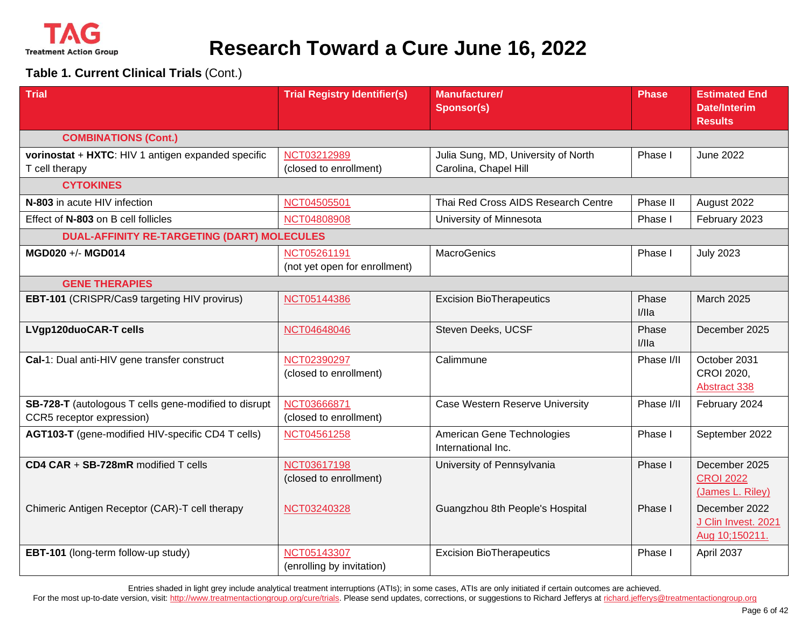

**Table 1. Current Clinical Trials** (Cont.)

| <b>Trial</b>                                                                       | <b>Trial Registry Identifier(s)</b>          | Manufacturer/<br><b>Sponsor(s)</b>                           | Phase          | <b>Estimated End</b><br><b>Date/Interim</b><br><b>Results</b> |
|------------------------------------------------------------------------------------|----------------------------------------------|--------------------------------------------------------------|----------------|---------------------------------------------------------------|
| <b>COMBINATIONS (Cont.)</b>                                                        |                                              |                                                              |                |                                                               |
| vorinostat + HXTC: HIV 1 antigen expanded specific<br>T cell therapy               | NCT03212989<br>(closed to enrollment)        | Julia Sung, MD, University of North<br>Carolina, Chapel Hill | Phase I        | <b>June 2022</b>                                              |
| <b>CYTOKINES</b>                                                                   |                                              |                                                              |                |                                                               |
| N-803 in acute HIV infection                                                       | NCT04505501                                  | Thai Red Cross AIDS Research Centre                          | Phase II       | August 2022                                                   |
| Effect of N-803 on B cell follicles                                                | NCT04808908                                  | University of Minnesota                                      | Phase I        | February 2023                                                 |
| <b>DUAL-AFFINITY RE-TARGETING (DART) MOLECULES</b>                                 |                                              |                                                              |                |                                                               |
| MGD020 +/- MGD014                                                                  | NCT05261191<br>(not yet open for enrollment) | <b>MacroGenics</b>                                           | Phase I        | <b>July 2023</b>                                              |
| <b>GENE THERAPIES</b>                                                              |                                              |                                                              |                |                                                               |
| <b>EBT-101</b> (CRISPR/Cas9 targeting HIV provirus)                                | NCT05144386                                  | <b>Excision BioTherapeutics</b>                              | Phase<br>I/IIa | <b>March 2025</b>                                             |
| LVgp120duoCAR-T cells                                                              | NCT04648046                                  | Steven Deeks, UCSF                                           | Phase<br>I/IIa | December 2025                                                 |
| Cal-1: Dual anti-HIV gene transfer construct                                       | NCT02390297<br>(closed to enrollment)        | Calimmune                                                    | Phase I/II     | October 2031<br>CROI 2020,<br><b>Abstract 338</b>             |
| SB-728-T (autologous T cells gene-modified to disrupt<br>CCR5 receptor expression) | NCT03666871<br>(closed to enrollment)        | Case Western Reserve University                              | Phase I/II     | February 2024                                                 |
| AGT103-T (gene-modified HIV-specific CD4 T cells)                                  | NCT04561258                                  | American Gene Technologies<br>International Inc.             | Phase I        | September 2022                                                |
| CD4 CAR + SB-728mR modified T cells                                                | NCT03617198<br>(closed to enrollment)        | University of Pennsylvania                                   | Phase I        | December 2025<br><b>CROI 2022</b><br>(James L. Riley)         |
| Chimeric Antigen Receptor (CAR)-T cell therapy                                     | NCT03240328                                  | Guangzhou 8th People's Hospital                              | Phase I        | December 2022<br>J Clin Invest. 2021<br>Aug 10;150211.        |
| EBT-101 (long-term follow-up study)                                                | NCT05143307<br>(enrolling by invitation)     | <b>Excision BioTherapeutics</b>                              | Phase I        | April 2037                                                    |

Entries shaded in light grey include analytical treatment interruptions (ATIs); in some cases, ATIs are only initiated if certain outcomes are achieved.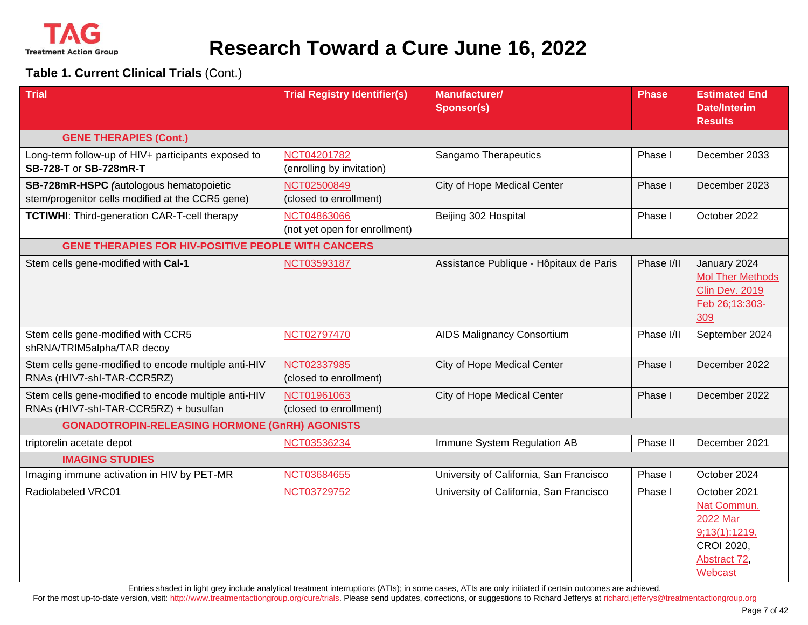

#### **Table 1. Current Clinical Trials** (Cont.)

| <b>Trial</b>                                                                                   | <b>Trial Registry Identifier(s)</b>          | <b>Manufacturer/</b><br><b>Sponsor(s)</b> | <b>Phase</b> | <b>Estimated End</b><br><b>Date/Interim</b><br><b>Results</b>                                     |
|------------------------------------------------------------------------------------------------|----------------------------------------------|-------------------------------------------|--------------|---------------------------------------------------------------------------------------------------|
| <b>GENE THERAPIES (Cont.)</b>                                                                  |                                              |                                           |              |                                                                                                   |
| Long-term follow-up of HIV+ participants exposed to<br>SB-728-T or SB-728mR-T                  | NCT04201782<br>(enrolling by invitation)     | Sangamo Therapeutics                      | Phase I      | December 2033                                                                                     |
| SB-728mR-HSPC (autologous hematopoietic<br>stem/progenitor cells modified at the CCR5 gene)    | NCT02500849<br>(closed to enrollment)        | City of Hope Medical Center               | Phase I      | December 2023                                                                                     |
| <b>TCTIWHI:</b> Third-generation CAR-T-cell therapy                                            | NCT04863066<br>(not yet open for enrollment) | Beijing 302 Hospital                      | Phase I      | October 2022                                                                                      |
| <b>GENE THERAPIES FOR HIV-POSITIVE PEOPLE WITH CANCERS</b>                                     |                                              |                                           |              |                                                                                                   |
| Stem cells gene-modified with Cal-1                                                            | NCT03593187                                  | Assistance Publique - Hôpitaux de Paris   | Phase I/II   | January 2024<br><b>Mol Ther Methods</b><br><b>Clin Dev. 2019</b><br>Feb 26;13:303-<br>309         |
| Stem cells gene-modified with CCR5<br>shRNA/TRIM5alpha/TAR decoy                               | NCT02797470                                  | <b>AIDS Malignancy Consortium</b>         | Phase I/II   | September 2024                                                                                    |
| Stem cells gene-modified to encode multiple anti-HIV<br>RNAs (rHIV7-shl-TAR-CCR5RZ)            | NCT02337985<br>(closed to enrollment)        | City of Hope Medical Center               | Phase I      | December 2022                                                                                     |
| Stem cells gene-modified to encode multiple anti-HIV<br>RNAs (rHIV7-shl-TAR-CCR5RZ) + busulfan | NCT01961063<br>(closed to enrollment)        | City of Hope Medical Center               | Phase I      | December 2022                                                                                     |
| <b>GONADOTROPIN-RELEASING HORMONE (GnRH) AGONISTS</b>                                          |                                              |                                           |              |                                                                                                   |
| triptorelin acetate depot                                                                      | NCT03536234                                  | Immune System Regulation AB               | Phase II     | December 2021                                                                                     |
| <b>IMAGING STUDIES</b>                                                                         |                                              |                                           |              |                                                                                                   |
| Imaging immune activation in HIV by PET-MR                                                     | NCT03684655                                  | University of California, San Francisco   | Phase I      | October 2024                                                                                      |
| Radiolabeled VRC01                                                                             | NCT03729752                                  | University of California, San Francisco   | Phase I      | October 2021<br>Nat Commun.<br>2022 Mar<br>9;13(1):1219.<br>CROI 2020,<br>Abstract 72,<br>Webcast |

Entries shaded in light grey include analytical treatment interruptions (ATIs); in some cases, ATIs are only initiated if certain outcomes are achieved.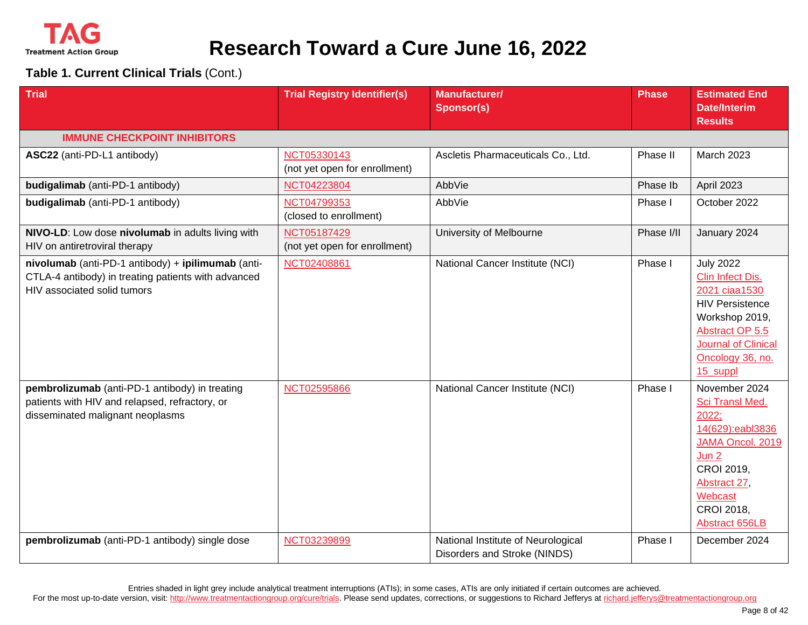

#### **Table 1. Current Clinical Trials** (Cont.)

| <b>Trial</b>                                                                                                                             | <b>Trial Registry Identifier(s)</b>          | <b>Manufacturer/</b><br><b>Sponsor(s)</b>                          | <b>Phase</b> | <b>Estimated End</b><br><b>Date/Interim</b><br><b>Results</b>                                                                                                                      |
|------------------------------------------------------------------------------------------------------------------------------------------|----------------------------------------------|--------------------------------------------------------------------|--------------|------------------------------------------------------------------------------------------------------------------------------------------------------------------------------------|
| <b>IMMUNE CHECKPOINT INHIBITORS</b>                                                                                                      |                                              |                                                                    |              |                                                                                                                                                                                    |
| ASC22 (anti-PD-L1 antibody)                                                                                                              | NCT05330143<br>(not yet open for enrollment) | Ascletis Pharmaceuticals Co., Ltd.                                 | Phase II     | March 2023                                                                                                                                                                         |
| budigalimab (anti-PD-1 antibody)                                                                                                         | NCT04223804                                  | AbbVie                                                             | Phase Ib     | <b>April 2023</b>                                                                                                                                                                  |
| budigalimab (anti-PD-1 antibody)                                                                                                         | NCT04799353<br>(closed to enrollment)        | AbbVie                                                             | Phase I      | October 2022                                                                                                                                                                       |
| NIVO-LD: Low dose nivolumab in adults living with<br>HIV on antiretroviral therapy                                                       | NCT05187429<br>(not yet open for enrollment) | University of Melbourne                                            | Phase I/II   | January 2024                                                                                                                                                                       |
| nivolumab (anti-PD-1 antibody) + ipilimumab (anti-<br>CTLA-4 antibody) in treating patients with advanced<br>HIV associated solid tumors | NCT02408861                                  | National Cancer Institute (NCI)                                    | Phase I      | <b>July 2022</b><br>Clin Infect Dis.<br>2021 ciaa1530<br><b>HIV Persistence</b><br>Workshop 2019,<br>Abstract OP 5.5<br><b>Journal of Clinical</b><br>Oncology 36, no.<br>15_suppl |
| pembrolizumab (anti-PD-1 antibody) in treating<br>patients with HIV and relapsed, refractory, or<br>disseminated malignant neoplasms     | NCT02595866                                  | National Cancer Institute (NCI)                                    | Phase I      | November 2024<br>Sci Transl Med.<br>2022:<br>14(629):eabl3836<br>JAMA Oncol. 2019<br>Jun 2<br>CROI 2019,<br>Abstract 27,<br>Webcast<br>CROI 2018,<br>Abstract 656LB                |
| pembrolizumab (anti-PD-1 antibody) single dose                                                                                           | NCT03239899                                  | National Institute of Neurological<br>Disorders and Stroke (NINDS) | Phase I      | December 2024                                                                                                                                                                      |

Entries shaded in light grey include analytical treatment interruptions (ATIs); in some cases, ATIs are only initiated if certain outcomes are achieved.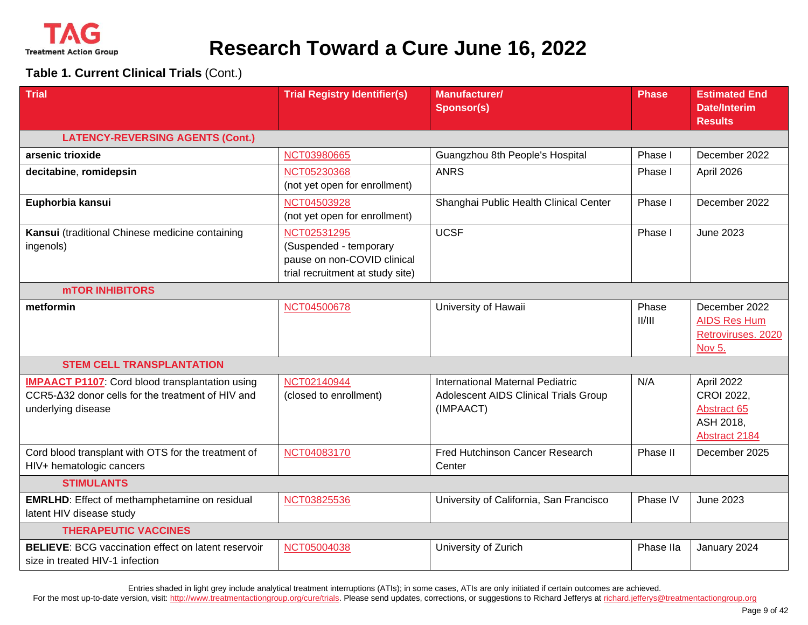

**Table 1. Current Clinical Trials** (Cont.)

| <b>Trial</b>                                                                                                                      | <b>Trial Registry Identifier(s)</b>                                                                      | <b>Manufacturer/</b><br><b>Sponsor(s)</b>                                              | Phase           | <b>Estimated End</b><br><b>Date/Interim</b><br><b>Results</b>         |
|-----------------------------------------------------------------------------------------------------------------------------------|----------------------------------------------------------------------------------------------------------|----------------------------------------------------------------------------------------|-----------------|-----------------------------------------------------------------------|
| <b>LATENCY-REVERSING AGENTS (Cont.)</b>                                                                                           |                                                                                                          |                                                                                        |                 |                                                                       |
| arsenic trioxide                                                                                                                  | NCT03980665                                                                                              | Guangzhou 8th People's Hospital                                                        | Phase I         | December 2022                                                         |
| decitabine, romidepsin                                                                                                            | NCT05230368<br>(not yet open for enrollment)                                                             | <b>ANRS</b>                                                                            | Phase I         | April 2026                                                            |
| Euphorbia kansui                                                                                                                  | NCT04503928<br>(not yet open for enrollment)                                                             | Shanghai Public Health Clinical Center                                                 | Phase I         | December 2022                                                         |
| Kansui (traditional Chinese medicine containing<br>ingenols)                                                                      | NCT02531295<br>(Suspended - temporary<br>pause on non-COVID clinical<br>trial recruitment at study site) | <b>UCSF</b>                                                                            | Phase I         | <b>June 2023</b>                                                      |
| <b>MTOR INHIBITORS</b>                                                                                                            |                                                                                                          |                                                                                        |                 |                                                                       |
| metformin                                                                                                                         | NCT04500678                                                                                              | University of Hawaii                                                                   | Phase<br>II/III | December 2022<br><b>AIDS Res Hum</b><br>Retroviruses. 2020<br>Nov 5.  |
| <b>STEM CELL TRANSPLANTATION</b>                                                                                                  |                                                                                                          |                                                                                        |                 |                                                                       |
| <b>IMPAACT P1107:</b> Cord blood transplantation using<br>CCR5-∆32 donor cells for the treatment of HIV and<br>underlying disease | NCT02140944<br>(closed to enrollment)                                                                    | International Maternal Pediatric<br>Adolescent AIDS Clinical Trials Group<br>(IMPAACT) | N/A             | April 2022<br>CROI 2022,<br>Abstract 65<br>ASH 2018,<br>Abstract 2184 |
| Cord blood transplant with OTS for the treatment of<br>HIV+ hematologic cancers                                                   | NCT04083170                                                                                              | <b>Fred Hutchinson Cancer Research</b><br>Center                                       | Phase II        | December 2025                                                         |
| <b>STIMULANTS</b>                                                                                                                 |                                                                                                          |                                                                                        |                 |                                                                       |
| <b>EMRLHD:</b> Effect of methamphetamine on residual<br>latent HIV disease study                                                  | NCT03825536                                                                                              | University of California, San Francisco                                                | Phase IV        | <b>June 2023</b>                                                      |
| <b>THERAPEUTIC VACCINES</b>                                                                                                       |                                                                                                          |                                                                                        |                 |                                                                       |
| <b>BELIEVE: BCG vaccination effect on latent reservoir</b><br>size in treated HIV-1 infection                                     | NCT05004038                                                                                              | University of Zurich                                                                   | Phase IIa       | January 2024                                                          |

Entries shaded in light grey include analytical treatment interruptions (ATIs); in some cases, ATIs are only initiated if certain outcomes are achieved.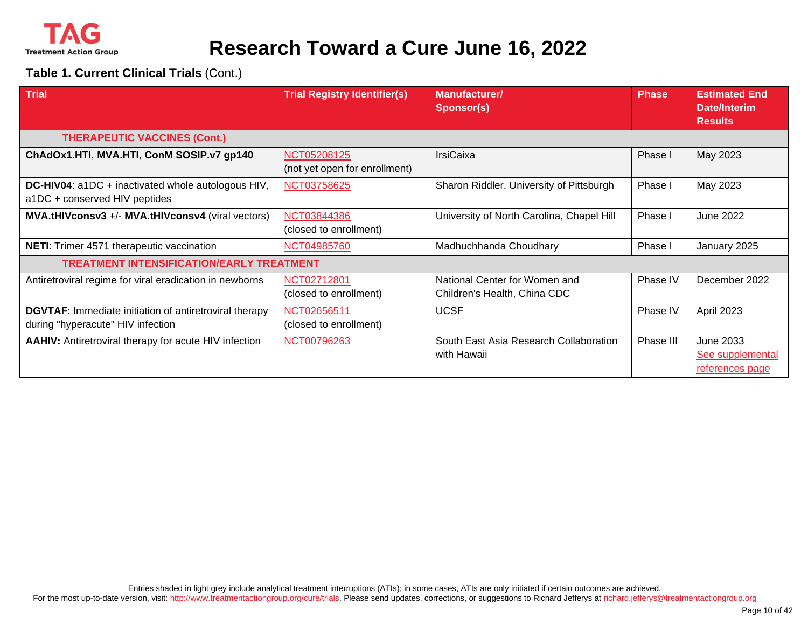

#### **Table 1. Current Clinical Trials** (Cont.)

| <b>Trial</b>                                                                                       | <b>Trial Registry Identifier(s)</b>          | <b>Manufacturer/</b><br><b>Sponsor(s)</b>                     | <b>Phase</b> | <b>Estimated End</b><br>Date/Interim<br><b>Results</b> |
|----------------------------------------------------------------------------------------------------|----------------------------------------------|---------------------------------------------------------------|--------------|--------------------------------------------------------|
| <b>THERAPEUTIC VACCINES (Cont.)</b>                                                                |                                              |                                                               |              |                                                        |
| ChAdOx1.HTI, MVA.HTI, ConM SOSIP.v7 gp140                                                          | NCT05208125<br>(not yet open for enrollment) | <b>IrsiCaixa</b>                                              | Phase I      | May 2023                                               |
| <b>DC-HIV04:</b> a1DC + inactivated whole autologous HIV,<br>a1DC + conserved HIV peptides         | NCT03758625                                  | Sharon Riddler, University of Pittsburgh                      | Phase I      | May 2023                                               |
| MVA.tHIVconsv3 +/- MVA.tHIVconsv4 (viral vectors)                                                  | NCT03844386<br>(closed to enrollment)        | University of North Carolina, Chapel Hill                     | Phase I      | <b>June 2022</b>                                       |
| <b>NETI:</b> Trimer 4571 therapeutic vaccination                                                   | NCT04985760                                  | Madhuchhanda Choudhary                                        | Phase I      | January 2025                                           |
| <b>TREATMENT INTENSIFICATION/EARLY TREATMENT</b>                                                   |                                              |                                                               |              |                                                        |
| Antiretroviral regime for viral eradication in newborns                                            | NCT02712801<br>(closed to enrollment)        | National Center for Women and<br>Children's Health, China CDC | Phase IV     | December 2022                                          |
| <b>DGVTAF:</b> Immediate initiation of antiretroviral therapy<br>during "hyperacute" HIV infection | NCT02656511<br>(closed to enrollment)        | <b>UCSF</b>                                                   | Phase IV     | April 2023                                             |
| <b>AAHIV:</b> Antiretroviral therapy for acute HIV infection                                       | NCT00796263                                  | South East Asia Research Collaboration<br>with Hawaii         | Phase III    | June 2033<br>See supplemental<br>references page       |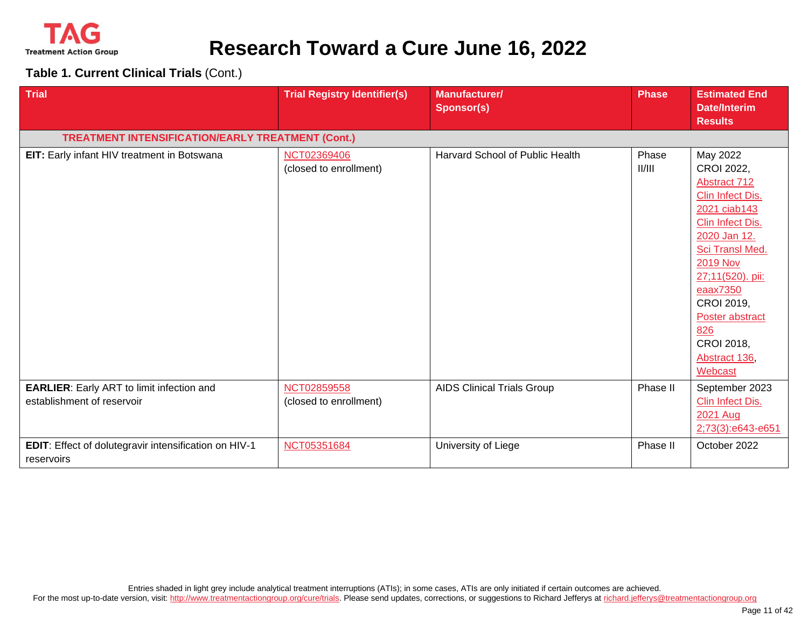

**Table 1. Current Clinical Trials** (Cont.)

| <b>Trial</b>                                                                   | <b>Trial Registry Identifier(s)</b>   | <b>Manufacturer/</b><br><b>Sponsor(s)</b> | <b>Phase</b>    | <b>Estimated End</b><br><b>Date/Interim</b><br><b>Results</b>                                                                                                                                                                                                         |
|--------------------------------------------------------------------------------|---------------------------------------|-------------------------------------------|-----------------|-----------------------------------------------------------------------------------------------------------------------------------------------------------------------------------------------------------------------------------------------------------------------|
| <b>TREATMENT INTENSIFICATION/EARLY TREATMENT (Cont.)</b>                       |                                       |                                           |                 |                                                                                                                                                                                                                                                                       |
| EIT: Early infant HIV treatment in Botswana                                    | NCT02369406<br>(closed to enrollment) | Harvard School of Public Health           | Phase<br>II/III | May 2022<br>CROI 2022,<br>Abstract 712<br>Clin Infect Dis.<br>2021 ciab143<br>Clin Infect Dis.<br>2020 Jan 12.<br>Sci Transl Med.<br><b>2019 Nov</b><br>27;11(520). pii:<br>eaax7350<br>CROI 2019,<br>Poster abstract<br>826<br>CROI 2018,<br>Abstract 136<br>Webcast |
| <b>EARLIER:</b> Early ART to limit infection and<br>establishment of reservoir | NCT02859558<br>(closed to enrollment) | <b>AIDS Clinical Trials Group</b>         | Phase II        | September 2023<br>Clin Infect Dis.<br>2021 Aug<br>2;73(3):e643-e651                                                                                                                                                                                                   |
| EDIT: Effect of dolutegravir intensification on HIV-1<br>reservoirs            | NCT05351684                           | University of Liege                       | Phase II        | October 2022                                                                                                                                                                                                                                                          |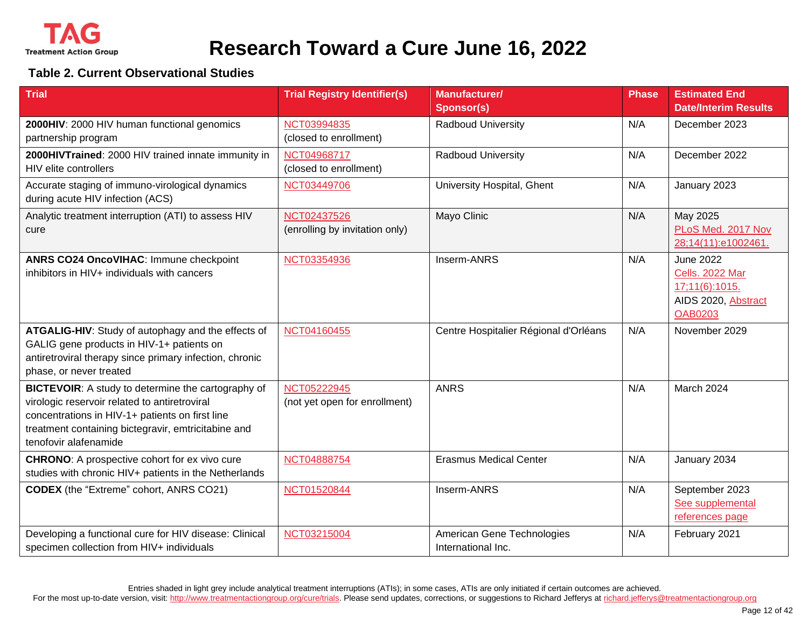

#### **Table 2. Current Observational Studies**

| <b>Trial</b>                                                                                                                                                                                                                           | <b>Trial Registry Identifier(s)</b>           | <b>Manufacturer/</b><br><b>Sponsor(s)</b>        | <b>Phase</b> | <b>Estimated End</b><br><b>Date/Interim Results</b>                                                   |
|----------------------------------------------------------------------------------------------------------------------------------------------------------------------------------------------------------------------------------------|-----------------------------------------------|--------------------------------------------------|--------------|-------------------------------------------------------------------------------------------------------|
| 2000HIV: 2000 HIV human functional genomics<br>partnership program                                                                                                                                                                     | NCT03994835<br>(closed to enrollment)         | Radboud University                               | N/A          | December 2023                                                                                         |
| 2000HIVTrained: 2000 HIV trained innate immunity in<br>HIV elite controllers                                                                                                                                                           | NCT04968717<br>(closed to enrollment)         | Radboud University                               | N/A          | December 2022                                                                                         |
| Accurate staging of immuno-virological dynamics<br>during acute HIV infection (ACS)                                                                                                                                                    | NCT03449706                                   | University Hospital, Ghent                       | N/A          | January 2023                                                                                          |
| Analytic treatment interruption (ATI) to assess HIV<br>cure                                                                                                                                                                            | NCT02437526<br>(enrolling by invitation only) | Mayo Clinic                                      | N/A          | May 2025<br>PLoS Med. 2017 Nov<br>28;14(11):e1002461.                                                 |
| ANRS CO24 OncoVIHAC: Immune checkpoint<br>inhibitors in HIV+ individuals with cancers                                                                                                                                                  | NCT03354936                                   | Inserm-ANRS                                      | N/A          | <b>June 2022</b><br><b>Cells. 2022 Mar</b><br>17;11(6):1015.<br>AIDS 2020, Abstract<br><b>OAB0203</b> |
| ATGALIG-HIV: Study of autophagy and the effects of<br>GALIG gene products in HIV-1+ patients on<br>antiretroviral therapy since primary infection, chronic<br>phase, or never treated                                                  | NCT04160455                                   | Centre Hospitalier Régional d'Orléans            | N/A          | November 2029                                                                                         |
| BICTEVOIR: A study to determine the cartography of<br>virologic reservoir related to antiretroviral<br>concentrations in HIV-1+ patients on first line<br>treatment containing bictegravir, emtricitabine and<br>tenofovir alafenamide | NCT05222945<br>(not yet open for enrollment)  | <b>ANRS</b>                                      | N/A          | March 2024                                                                                            |
| <b>CHRONO:</b> A prospective cohort for ex vivo cure<br>studies with chronic HIV+ patients in the Netherlands                                                                                                                          | NCT04888754                                   | <b>Erasmus Medical Center</b>                    | N/A          | January 2034                                                                                          |
| <b>CODEX</b> (the "Extreme" cohort, ANRS CO21)                                                                                                                                                                                         | NCT01520844                                   | Inserm-ANRS                                      | N/A          | September 2023<br>See supplemental<br>references page                                                 |
| Developing a functional cure for HIV disease: Clinical<br>specimen collection from HIV+ individuals                                                                                                                                    | NCT03215004                                   | American Gene Technologies<br>International Inc. | N/A          | February 2021                                                                                         |

Entries shaded in light grey include analytical treatment interruptions (ATIs); in some cases, ATIs are only initiated if certain outcomes are achieved.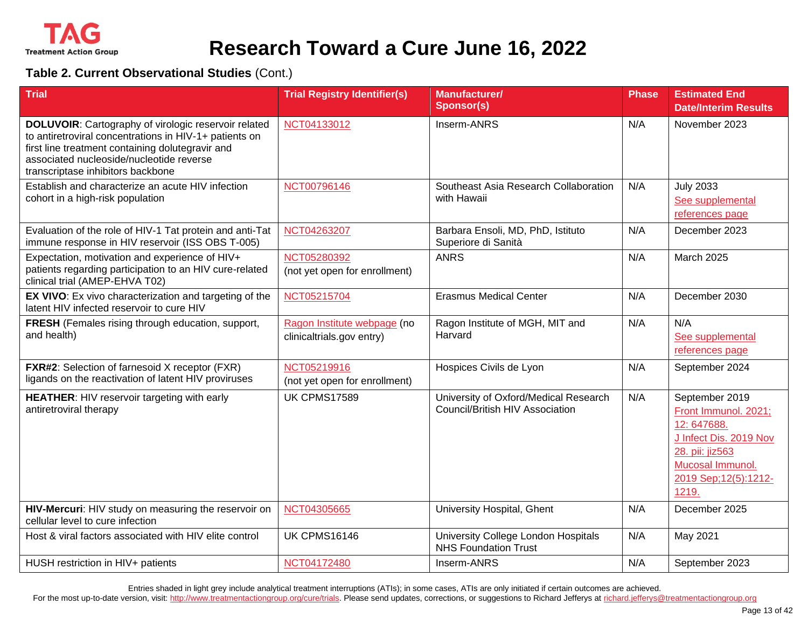

#### **Table 2. Current Observational Studies** (Cont.)

| <b>Trial</b>                                                                                                                                                                                                                                               | <b>Trial Registry Identifier(s)</b>                      | <b>Manufacturer/</b><br><b>Sponsor(s)</b>                                | <b>Phase</b> | <b>Estimated End</b><br><b>Date/Interim Results</b>                                                                                                             |
|------------------------------------------------------------------------------------------------------------------------------------------------------------------------------------------------------------------------------------------------------------|----------------------------------------------------------|--------------------------------------------------------------------------|--------------|-----------------------------------------------------------------------------------------------------------------------------------------------------------------|
| <b>DOLUVOIR:</b> Cartography of virologic reservoir related<br>to antiretroviral concentrations in HIV-1+ patients on<br>first line treatment containing dolutegravir and<br>associated nucleoside/nucleotide reverse<br>transcriptase inhibitors backbone | NCT04133012                                              | Inserm-ANRS                                                              | N/A          | November 2023                                                                                                                                                   |
| Establish and characterize an acute HIV infection<br>cohort in a high-risk population                                                                                                                                                                      | NCT00796146                                              | Southeast Asia Research Collaboration<br>with Hawaii                     | N/A          | <b>July 2033</b><br>See supplemental<br>references page                                                                                                         |
| Evaluation of the role of HIV-1 Tat protein and anti-Tat<br>immune response in HIV reservoir (ISS OBS T-005)                                                                                                                                               | NCT04263207                                              | Barbara Ensoli, MD, PhD, Istituto<br>Superiore di Sanità                 | N/A          | December 2023                                                                                                                                                   |
| Expectation, motivation and experience of HIV+<br>patients regarding participation to an HIV cure-related<br>clinical trial (AMEP-EHVA T02)                                                                                                                | NCT05280392<br>(not yet open for enrollment)             | <b>ANRS</b>                                                              | N/A          | <b>March 2025</b>                                                                                                                                               |
| EX VIVO: Ex vivo characterization and targeting of the<br>latent HIV infected reservoir to cure HIV                                                                                                                                                        | NCT05215704                                              | <b>Erasmus Medical Center</b>                                            | N/A          | December 2030                                                                                                                                                   |
| FRESH (Females rising through education, support,<br>and health)                                                                                                                                                                                           | Ragon Institute webpage (no<br>clinicaltrials.gov entry) | Ragon Institute of MGH, MIT and<br>Harvard                               | N/A          | N/A<br>See supplemental<br>references page                                                                                                                      |
| <b>FXR#2:</b> Selection of farnesoid X receptor (FXR)<br>ligands on the reactivation of latent HIV proviruses                                                                                                                                              | NCT05219916<br>(not yet open for enrollment)             | Hospices Civils de Lyon                                                  | N/A          | September 2024                                                                                                                                                  |
| HEATHER: HIV reservoir targeting with early<br>antiretroviral therapy                                                                                                                                                                                      | <b>UK CPMS17589</b>                                      | University of Oxford/Medical Research<br>Council/British HIV Association | N/A          | September 2019<br>Front Immunol. 2021;<br>12:647688.<br>J Infect Dis. 2019 Nov<br>28. pii: jiz563<br>Mucosal <b>Immunol.</b><br>2019 Sep; 12(5): 1212-<br>1219. |
| HIV-Mercuri: HIV study on measuring the reservoir on<br>cellular level to cure infection                                                                                                                                                                   | NCT04305665                                              | University Hospital, Ghent                                               | N/A          | December 2025                                                                                                                                                   |
| Host & viral factors associated with HIV elite control                                                                                                                                                                                                     | <b>UK CPMS16146</b>                                      | University College London Hospitals<br><b>NHS Foundation Trust</b>       | N/A          | May 2021                                                                                                                                                        |
| HUSH restriction in HIV+ patients                                                                                                                                                                                                                          | NCT04172480                                              | Inserm-ANRS                                                              | N/A          | September 2023                                                                                                                                                  |

Entries shaded in light grey include analytical treatment interruptions (ATIs); in some cases, ATIs are only initiated if certain outcomes are achieved.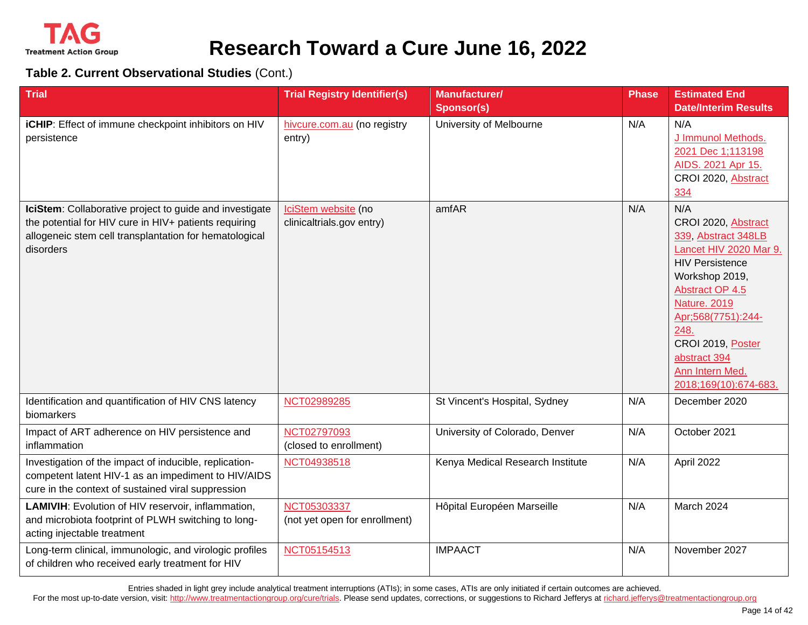

#### **Table 2. Current Observational Studies** (Cont.)

| <b>Trial</b>                                                                                                                                                                            | <b>Trial Registry Identifier(s)</b>              | Manufacturer/<br><b>Sponsor(s)</b> | <b>Phase</b> | <b>Estimated End</b><br><b>Date/Interim Results</b>                                                                                                                                                                                                                              |
|-----------------------------------------------------------------------------------------------------------------------------------------------------------------------------------------|--------------------------------------------------|------------------------------------|--------------|----------------------------------------------------------------------------------------------------------------------------------------------------------------------------------------------------------------------------------------------------------------------------------|
| iCHIP: Effect of immune checkpoint inhibitors on HIV<br>persistence                                                                                                                     | hivcure.com.au (no registry<br>entry)            | University of Melbourne            | N/A          | N/A<br>J Immunol Methods.<br>2021 Dec 1;113198<br>AIDS. 2021 Apr 15.<br>CROI 2020, Abstract<br>334                                                                                                                                                                               |
| IciStem: Collaborative project to guide and investigate<br>the potential for HIV cure in HIV+ patients requiring<br>allogeneic stem cell transplantation for hematological<br>disorders | IciStem website (no<br>clinicaltrials.gov entry) | amfAR                              | N/A          | N/A<br>CROI 2020, Abstract<br>339, Abstract 348LB<br>Lancet HIV 2020 Mar 9.<br><b>HIV Persistence</b><br>Workshop 2019,<br>Abstract OP 4.5<br><b>Nature. 2019</b><br>Apr;568(7751):244-<br>248.<br>CROI 2019, Poster<br>abstract 394<br>Ann Intern Med.<br>2018;169(10):674-683. |
| Identification and quantification of HIV CNS latency<br>biomarkers                                                                                                                      | NCT02989285                                      | St Vincent's Hospital, Sydney      | N/A          | December 2020                                                                                                                                                                                                                                                                    |
| Impact of ART adherence on HIV persistence and<br>inflammation                                                                                                                          | NCT02797093<br>(closed to enrollment)            | University of Colorado, Denver     | N/A          | October 2021                                                                                                                                                                                                                                                                     |
| Investigation of the impact of inducible, replication-<br>competent latent HIV-1 as an impediment to HIV/AIDS<br>cure in the context of sustained viral suppression                     | NCT04938518                                      | Kenya Medical Research Institute   | N/A          | April 2022                                                                                                                                                                                                                                                                       |
| LAMIVIH: Evolution of HIV reservoir, inflammation,<br>and microbiota footprint of PLWH switching to long-<br>acting injectable treatment                                                | NCT05303337<br>(not yet open for enrollment)     | Hôpital Européen Marseille         | N/A          | March 2024                                                                                                                                                                                                                                                                       |
| Long-term clinical, immunologic, and virologic profiles<br>of children who received early treatment for HIV                                                                             | NCT05154513                                      | <b>IMPAACT</b>                     | N/A          | November 2027                                                                                                                                                                                                                                                                    |

Entries shaded in light grey include analytical treatment interruptions (ATIs); in some cases, ATIs are only initiated if certain outcomes are achieved.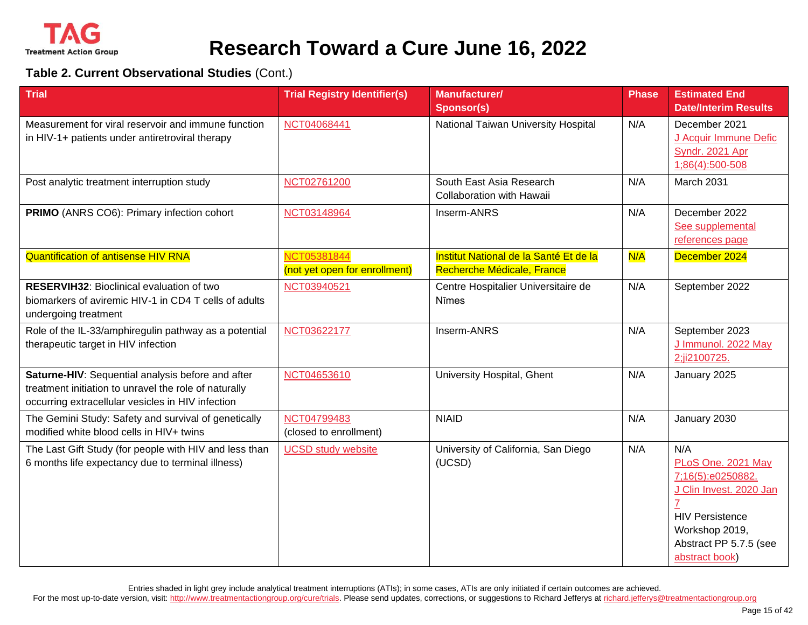

#### **Table 2. Current Observational Studies** (Cont.)

| <b>Trial</b>                                                                                                                                                    | <b>Trial Registry Identifier(s)</b>                 | <b>Manufacturer/</b><br><b>Sponsor(s)</b>                            | <b>Phase</b> | <b>Estimated End</b><br><b>Date/Interim Results</b>                                                                                                               |
|-----------------------------------------------------------------------------------------------------------------------------------------------------------------|-----------------------------------------------------|----------------------------------------------------------------------|--------------|-------------------------------------------------------------------------------------------------------------------------------------------------------------------|
| Measurement for viral reservoir and immune function<br>in HIV-1+ patients under antiretroviral therapy                                                          | NCT04068441                                         | National Taiwan University Hospital                                  | N/A          | December 2021<br>J Acquir Immune Defic<br>Syndr. 2021 Apr<br>1;86(4):500-508                                                                                      |
| Post analytic treatment interruption study                                                                                                                      | NCT02761200                                         | South East Asia Research<br>Collaboration with Hawaii                | N/A          | March 2031                                                                                                                                                        |
| PRIMO (ANRS CO6): Primary infection cohort                                                                                                                      | NCT03148964                                         | Inserm-ANRS                                                          | N/A          | December 2022<br>See supplemental<br>references page                                                                                                              |
| <b>Quantification of antisense HIV RNA</b>                                                                                                                      | <b>NCT05381844</b><br>(not yet open for enrollment) | Institut National de la Santé Et de la<br>Recherche Médicale, France | N/A          | December 2024                                                                                                                                                     |
| <b>RESERVIH32: Bioclinical evaluation of two</b><br>biomarkers of aviremic HIV-1 in CD4 T cells of adults<br>undergoing treatment                               | NCT03940521                                         | Centre Hospitalier Universitaire de<br>Nīmes                         | N/A          | September 2022                                                                                                                                                    |
| Role of the IL-33/amphiregulin pathway as a potential<br>therapeutic target in HIV infection                                                                    | NCT03622177                                         | Inserm-ANRS                                                          | N/A          | September 2023<br>J Immunol. 2022 May<br>2;ji2100725.                                                                                                             |
| Saturne-HIV: Sequential analysis before and after<br>treatment initiation to unravel the role of naturally<br>occurring extracellular vesicles in HIV infection | NCT04653610                                         | University Hospital, Ghent                                           | N/A          | January 2025                                                                                                                                                      |
| The Gemini Study: Safety and survival of genetically<br>modified white blood cells in HIV+ twins                                                                | NCT04799483<br>(closed to enrollment)               | <b>NIAID</b>                                                         | N/A          | January 2030                                                                                                                                                      |
| The Last Gift Study (for people with HIV and less than<br>6 months life expectancy due to terminal illness)                                                     | <b>UCSD study website</b>                           | University of California, San Diego<br>(UCSD)                        | N/A          | N/A<br>PLoS One. 2021 May<br>7;16(5):e0250882.<br>J Clin Invest. 2020 Jan<br><b>HIV Persistence</b><br>Workshop 2019,<br>Abstract PP 5.7.5 (see<br>abstract book) |

Entries shaded in light grey include analytical treatment interruptions (ATIs); in some cases, ATIs are only initiated if certain outcomes are achieved.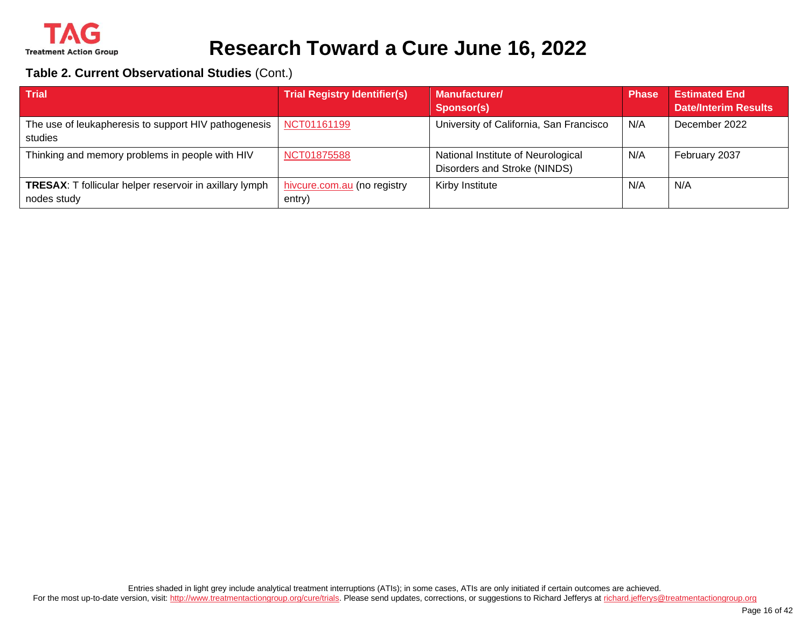

#### **Table 2. Current Observational Studies** (Cont.)

| <b>Trial</b>                                                                  | <b>Trial Registry Identifier(s)</b>   | Manufacturer/<br><b>Sponsor(s)</b>                                 | <b>Phase</b> | <b>Estimated End</b><br><b>Date/Interim Results</b> |
|-------------------------------------------------------------------------------|---------------------------------------|--------------------------------------------------------------------|--------------|-----------------------------------------------------|
| The use of leukapheresis to support HIV pathogenesis<br>studies               | NCT01161199                           | University of California, San Francisco                            | N/A          | December 2022                                       |
| Thinking and memory problems in people with HIV                               | NCT01875588                           | National Institute of Neurological<br>Disorders and Stroke (NINDS) | N/A          | February 2037                                       |
| <b>TRESAX:</b> T follicular helper reservoir in axillary lymph<br>nodes study | hivcure.com.au (no registry<br>entry) | Kirby Institute                                                    | N/A          | N/A                                                 |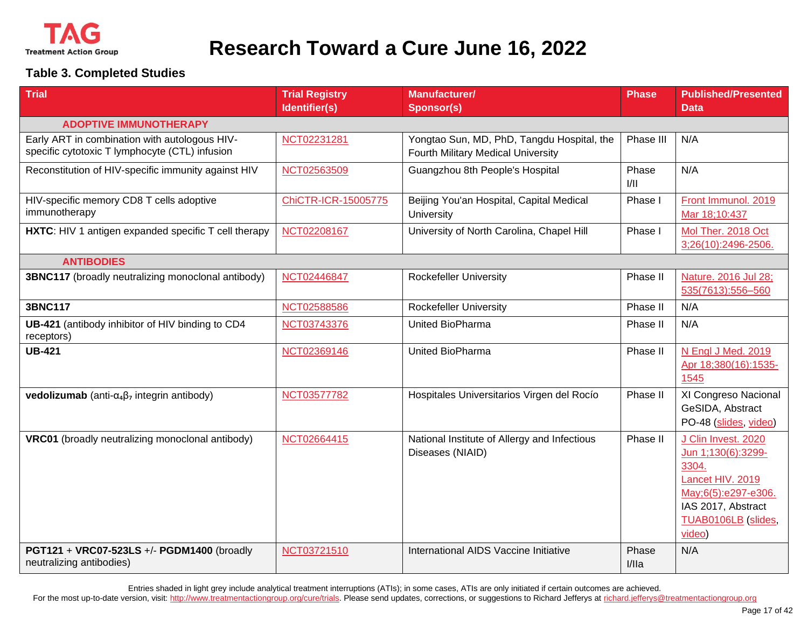

#### **Table 3. Completed Studies**

| <b>Trial</b>                                                                                    | <b>Trial Registry</b><br>Identifier(s) | <b>Manufacturer/</b><br><b>Sponsor(s)</b>                                        | <b>Phase</b>   | <b>Published/Presented</b><br><b>Data</b>                                                                                                            |
|-------------------------------------------------------------------------------------------------|----------------------------------------|----------------------------------------------------------------------------------|----------------|------------------------------------------------------------------------------------------------------------------------------------------------------|
|                                                                                                 |                                        |                                                                                  |                |                                                                                                                                                      |
| <b>ADOPTIVE IMMUNOTHERAPY</b>                                                                   |                                        |                                                                                  |                |                                                                                                                                                      |
| Early ART in combination with autologous HIV-<br>specific cytotoxic T lymphocyte (CTL) infusion | NCT02231281                            | Yongtao Sun, MD, PhD, Tangdu Hospital, the<br>Fourth Military Medical University | Phase III      | N/A                                                                                                                                                  |
| Reconstitution of HIV-specific immunity against HIV                                             | NCT02563509                            | Guangzhou 8th People's Hospital                                                  | Phase<br>1/11  | N/A                                                                                                                                                  |
| HIV-specific memory CD8 T cells adoptive<br>immunotherapy                                       | ChiCTR-ICR-15005775                    | Beijing You'an Hospital, Capital Medical<br>University                           | Phase I        | Front Immunol. 2019<br>Mar 18;10:437                                                                                                                 |
| HXTC: HIV 1 antigen expanded specific T cell therapy                                            | NCT02208167                            | University of North Carolina, Chapel Hill                                        | Phase I        | Mol Ther. 2018 Oct<br>3;26(10):2496-2506.                                                                                                            |
| <b>ANTIBODIES</b>                                                                               |                                        |                                                                                  |                |                                                                                                                                                      |
| 3BNC117 (broadly neutralizing monoclonal antibody)                                              | NCT02446847                            | <b>Rockefeller University</b>                                                    | Phase II       | Nature. 2016 Jul 28;<br>535(7613):556-560                                                                                                            |
| <b>3BNC117</b>                                                                                  | NCT02588586                            | <b>Rockefeller University</b>                                                    | Phase II       | N/A                                                                                                                                                  |
| UB-421 (antibody inhibitor of HIV binding to CD4<br>receptors)                                  | NCT03743376                            | United BioPharma                                                                 | Phase II       | N/A                                                                                                                                                  |
| <b>UB-421</b>                                                                                   | NCT02369146                            | <b>United BioPharma</b>                                                          | Phase II       | N Engl J Med. 2019<br>Apr 18;380(16):1535-<br>1545                                                                                                   |
| <b>vedolizumab</b> (anti- $\alpha_4\beta_7$ integrin antibody)                                  | NCT03577782                            | Hospitales Universitarios Virgen del Rocío                                       | Phase II       | XI Congreso Nacional<br>GeSIDA, Abstract<br>PO-48 (slides, video)                                                                                    |
| VRC01 (broadly neutralizing monoclonal antibody)                                                | NCT02664415                            | National Institute of Allergy and Infectious<br>Diseases (NIAID)                 | Phase II       | J Clin Invest. 2020<br>Jun 1;130(6):3299-<br>3304.<br>Lancet HIV. 2019<br>May;6(5):e297-e306.<br>IAS 2017, Abstract<br>TUAB0106LB (slides,<br>video) |
| PGT121 + VRC07-523LS +/- PGDM1400 (broadly<br>neutralizing antibodies)                          | NCT03721510                            | International AIDS Vaccine Initiative                                            | Phase<br>I/IIa | N/A                                                                                                                                                  |

Entries shaded in light grey include analytical treatment interruptions (ATIs); in some cases, ATIs are only initiated if certain outcomes are achieved.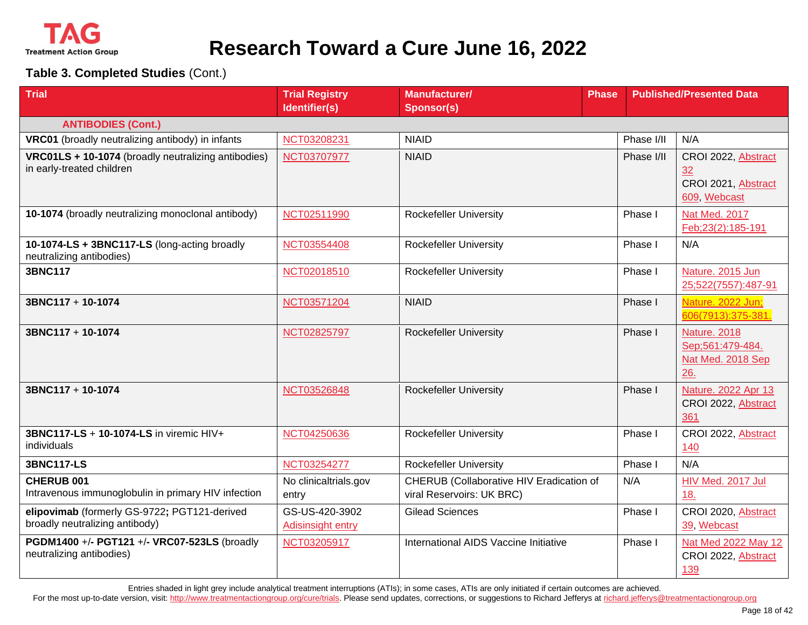

**Table 3. Completed Studies** (Cont.)

| <b>Trial</b>                                                                     | <b>Trial Registry</b>               | <b>Manufacturer/</b>                                                  | <b>Phase</b> |            | <b>Published/Presented Data</b>                                     |
|----------------------------------------------------------------------------------|-------------------------------------|-----------------------------------------------------------------------|--------------|------------|---------------------------------------------------------------------|
|                                                                                  | Identifier(s)                       | <b>Sponsor(s)</b>                                                     |              |            |                                                                     |
| <b>ANTIBODIES (Cont.)</b>                                                        |                                     |                                                                       |              |            |                                                                     |
| VRC01 (broadly neutralizing antibody) in infants                                 | NCT03208231                         | <b>NIAID</b>                                                          |              | Phase I/II | N/A                                                                 |
| VRC01LS + 10-1074 (broadly neutralizing antibodies)<br>in early-treated children | NCT03707977                         | <b>NIAID</b>                                                          |              | Phase I/II | CROI 2022, Abstract<br>32<br>CROI 2021, Abstract<br>609, Webcast    |
| 10-1074 (broadly neutralizing monoclonal antibody)                               | NCT02511990                         | <b>Rockefeller University</b>                                         |              | Phase I    | Nat Med. 2017<br>Feb;23(2):185-191                                  |
| 10-1074-LS + 3BNC117-LS (long-acting broadly<br>neutralizing antibodies)         | NCT03554408                         | <b>Rockefeller University</b>                                         |              | Phase I    | N/A                                                                 |
| <b>3BNC117</b>                                                                   | NCT02018510                         | <b>Rockefeller University</b>                                         |              | Phase I    | Nature. 2015 Jun<br>25;522(7557):487-91                             |
| 3BNC117 + 10-1074                                                                | NCT03571204                         | <b>NIAID</b>                                                          |              | Phase I    | Nature. 2022 Jun;<br>606(7913):375-381.                             |
| 3BNC117 + 10-1074                                                                | NCT02825797                         | <b>Rockefeller University</b>                                         |              | Phase I    | <b>Nature. 2018</b><br>Sep;561:479-484.<br>Nat Med. 2018 Sep<br>26. |
| 3BNC117 + 10-1074                                                                | NCT03526848                         | <b>Rockefeller University</b>                                         |              | Phase I    | Nature. 2022 Apr 13<br>CROI 2022, Abstract<br>361                   |
| 3BNC117-LS + 10-1074-LS in viremic HIV+<br>individuals                           | NCT04250636                         | <b>Rockefeller University</b>                                         |              | Phase I    | CROI 2022, Abstract<br>140                                          |
| <b>3BNC117-LS</b>                                                                | NCT03254277                         | <b>Rockefeller University</b>                                         |              | Phase I    | N/A                                                                 |
| CHERUB 001<br>Intravenous immunoglobulin in primary HIV infection                | No clinicaltrials.gov<br>entry      | CHERUB (Collaborative HIV Eradication of<br>viral Reservoirs: UK BRC) |              | N/A        | HIV Med. 2017 Jul<br>18.                                            |
| elipovimab (formerly GS-9722; PGT121-derived<br>broadly neutralizing antibody)   | GS-US-420-3902<br>Adisinsight entry | <b>Gilead Sciences</b>                                                |              | Phase I    | CROI 2020, Abstract<br>39, Webcast                                  |
| PGDM1400 +/- PGT121 +/- VRC07-523LS (broadly<br>neutralizing antibodies)         | NCT03205917                         | International AIDS Vaccine Initiative                                 |              | Phase I    | Nat Med 2022 May 12<br>CROI 2022, Abstract<br>139                   |

Entries shaded in light grey include analytical treatment interruptions (ATIs); in some cases, ATIs are only initiated if certain outcomes are achieved.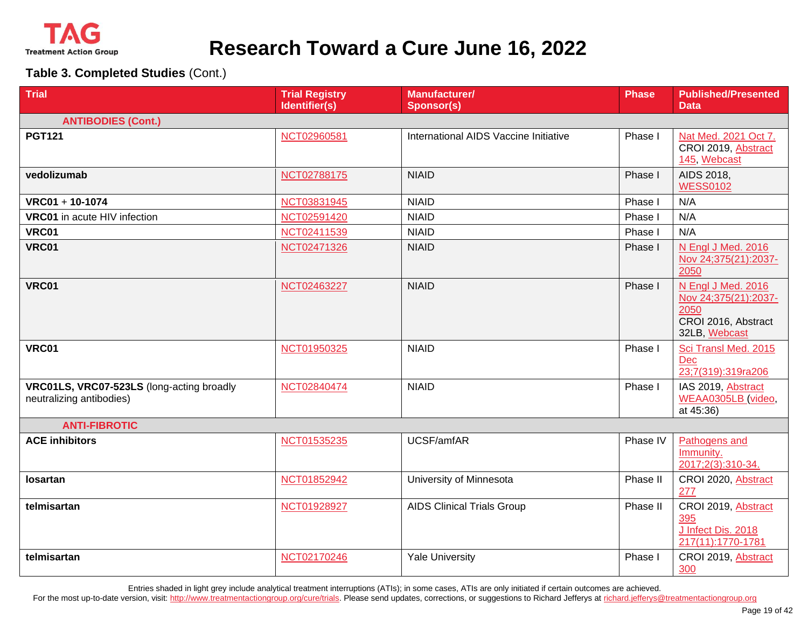

**Table 3. Completed Studies** (Cont.)

| <b>Trial</b>                                                          | <b>Trial Registry</b><br>Identifier(s) | Manufacturer/<br><b>Sponsor(s)</b>    | <b>Phase</b> | <b>Published/Presented</b><br><b>Data</b>                                                  |
|-----------------------------------------------------------------------|----------------------------------------|---------------------------------------|--------------|--------------------------------------------------------------------------------------------|
| <b>ANTIBODIES (Cont.)</b>                                             |                                        |                                       |              |                                                                                            |
| <b>PGT121</b>                                                         | NCT02960581                            | International AIDS Vaccine Initiative | Phase I      | Nat Med. 2021 Oct 7.<br>CROI 2019, Abstract<br>145, Webcast                                |
| vedolizumab                                                           | NCT02788175                            | <b>NIAID</b>                          | Phase I      | AIDS 2018,<br><b>WESS0102</b>                                                              |
| $VRC01 + 10-1074$                                                     | NCT03831945                            | <b>NIAID</b>                          | Phase I      | N/A                                                                                        |
| VRC01 in acute HIV infection                                          | NCT02591420                            | <b>NIAID</b>                          | Phase I      | N/A                                                                                        |
| <b>VRC01</b>                                                          | NCT02411539                            | <b>NIAID</b>                          | Phase I      | N/A                                                                                        |
| <b>VRC01</b>                                                          | NCT02471326                            | <b>NIAID</b>                          | Phase I      | N Engl J Med. 2016<br>Nov 24;375(21):2037-<br>2050                                         |
| <b>VRC01</b>                                                          | NCT02463227                            | <b>NIAID</b>                          | Phase I      | N Engl J Med. 2016<br>Nov 24;375(21):2037-<br>2050<br>CROI 2016, Abstract<br>32LB, Webcast |
| <b>VRC01</b>                                                          | NCT01950325                            | <b>NIAID</b>                          | Phase I      | Sci Transl Med. 2015<br>Dec<br>23;7(319):319ra206                                          |
| VRC01LS, VRC07-523LS (long-acting broadly<br>neutralizing antibodies) | NCT02840474                            | <b>NIAID</b>                          | Phase I      | IAS 2019, Abstract<br>WEAA0305LB (video,<br>at 45:36)                                      |
| <b>ANTI-FIBROTIC</b>                                                  |                                        |                                       |              |                                                                                            |
| <b>ACE inhibitors</b>                                                 | NCT01535235                            | UCSF/amfAR                            | Phase IV     | Pathogens and<br>Immunity.<br>2017;2(3):310-34.                                            |
| losartan                                                              | NCT01852942                            | University of Minnesota               | Phase II     | CROI 2020, Abstract<br>277                                                                 |
| telmisartan                                                           | NCT01928927                            | <b>AIDS Clinical Trials Group</b>     | Phase II     | CROI 2019, Abstract<br>395<br>J Infect Dis. 2018<br>217(11):1770-1781                      |
| telmisartan                                                           | NCT02170246                            | <b>Yale University</b>                | Phase I      | CROI 2019, Abstract<br>300                                                                 |

Entries shaded in light grey include analytical treatment interruptions (ATIs); in some cases, ATIs are only initiated if certain outcomes are achieved.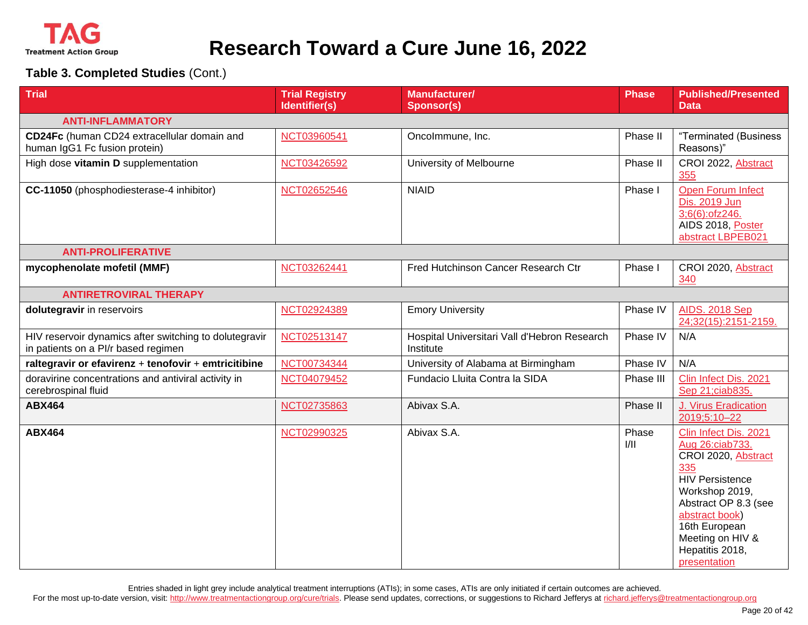

**Table 3. Completed Studies** (Cont.)

| <b>Trial</b>                                                                                  | <b>Trial Registry</b><br>Identifier(s) | <b>Manufacturer/</b><br><b>Sponsor(s)</b>                 | <b>Phase</b>  | <b>Published/Presented</b><br><b>Data</b>                                                                                                                                                                                            |
|-----------------------------------------------------------------------------------------------|----------------------------------------|-----------------------------------------------------------|---------------|--------------------------------------------------------------------------------------------------------------------------------------------------------------------------------------------------------------------------------------|
| <b>ANTI-INFLAMMATORY</b>                                                                      |                                        |                                                           |               |                                                                                                                                                                                                                                      |
| CD24Fc (human CD24 extracellular domain and<br>human IgG1 Fc fusion protein)                  | NCT03960541                            | Oncolmmune, Inc.                                          | Phase II      | "Terminated (Business<br>Reasons)"                                                                                                                                                                                                   |
| High dose vitamin D supplementation                                                           | NCT03426592                            | University of Melbourne                                   | Phase II      | CROI 2022, Abstract<br>355                                                                                                                                                                                                           |
| CC-11050 (phosphodiesterase-4 inhibitor)                                                      | NCT02652546                            | <b>NIAID</b>                                              | Phase I       | <b>Open Forum Infect</b><br>Dis. 2019 Jun<br>3;6(6):ofz246.<br>AIDS 2018, Poster<br>abstract LBPEB021                                                                                                                                |
| <b>ANTI-PROLIFERATIVE</b>                                                                     |                                        |                                                           |               |                                                                                                                                                                                                                                      |
| mycophenolate mofetil (MMF)                                                                   | NCT03262441                            | Fred Hutchinson Cancer Research Ctr                       | Phase I       | CROI 2020, Abstract<br>340                                                                                                                                                                                                           |
| <b>ANTIRETROVIRAL THERAPY</b>                                                                 |                                        |                                                           |               |                                                                                                                                                                                                                                      |
| dolutegravir in reservoirs                                                                    | NCT02924389                            | <b>Emory University</b>                                   | Phase IV      | <b>AIDS. 2018 Sep</b><br>24;32(15):2151-2159.                                                                                                                                                                                        |
| HIV reservoir dynamics after switching to dolutegravir<br>in patients on a PI/r based regimen | NCT02513147                            | Hospital Universitari Vall d'Hebron Research<br>Institute | Phase IV      | N/A                                                                                                                                                                                                                                  |
| raltegravir or efavirenz + tenofovir + emtricitibine                                          | NCT00734344                            | University of Alabama at Birmingham                       | Phase IV      | N/A                                                                                                                                                                                                                                  |
| doravirine concentrations and antiviral activity in<br>cerebrospinal fluid                    | NCT04079452                            | Fundacio Lluita Contra la SIDA                            | Phase III     | Clin Infect Dis. 2021<br>Sep 21;ciab835.                                                                                                                                                                                             |
| <b>ABX464</b>                                                                                 | NCT02735863                            | Abivax S.A.                                               | Phase II      | J. Virus Eradication<br>2019;5:10-22                                                                                                                                                                                                 |
| <b>ABX464</b>                                                                                 | NCT02990325                            | Abivax S.A.                                               | Phase<br>1/11 | Clin Infect Dis. 2021<br>Aug 26:ciab733.<br>CROI 2020, Abstract<br>335<br><b>HIV Persistence</b><br>Workshop 2019,<br>Abstract OP 8.3 (see<br>abstract book)<br>16th European<br>Meeting on HIV &<br>Hepatitis 2018,<br>presentation |

Entries shaded in light grey include analytical treatment interruptions (ATIs); in some cases, ATIs are only initiated if certain outcomes are achieved.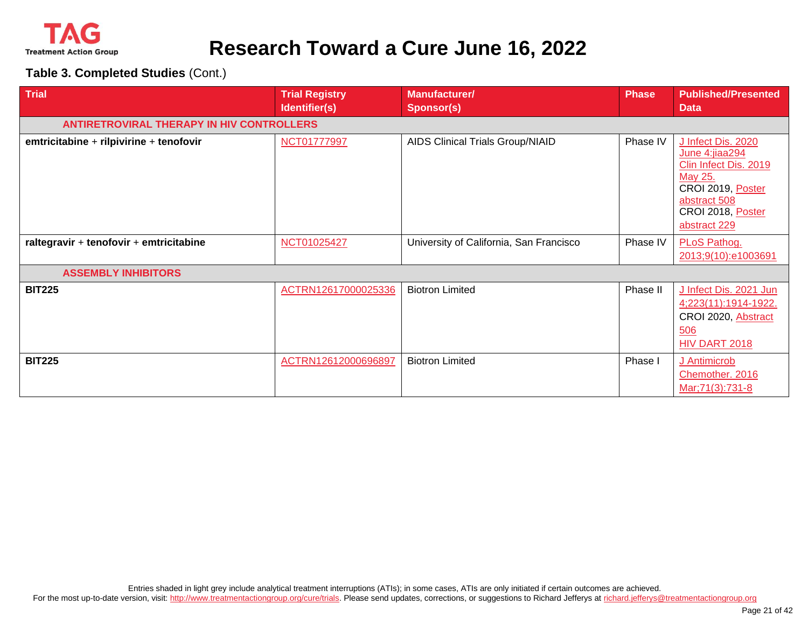

| <b>Trial</b>                                     | <b>Trial Registry</b><br>Identifier(s) | <b>Manufacturer/</b><br><b>Sponsor(s)</b> | <b>Phase</b> | <b>Published/Presented</b><br><b>Data</b>                                                                                                          |
|--------------------------------------------------|----------------------------------------|-------------------------------------------|--------------|----------------------------------------------------------------------------------------------------------------------------------------------------|
| <b>ANTIRETROVIRAL THERAPY IN HIV CONTROLLERS</b> |                                        |                                           |              |                                                                                                                                                    |
| emtricitabine + rilpivirine + tenofovir          | NCT01777997                            | <b>AIDS Clinical Trials Group/NIAID</b>   | Phase IV     | J Infect Dis. 2020<br>June 4:jiaa294<br>Clin Infect Dis. 2019<br>May 25.<br>CROI 2019, Poster<br>abstract 508<br>CROI 2018, Poster<br>abstract 229 |
| raltegravir + tenofovir + emtricitabine          | NCT01025427                            | University of California, San Francisco   | Phase IV     | PLoS Pathog.<br>2013;9(10):e1003691                                                                                                                |
| <b>ASSEMBLY INHIBITORS</b>                       |                                        |                                           |              |                                                                                                                                                    |
| <b>BIT225</b>                                    | ACTRN12617000025336                    | <b>Biotron Limited</b>                    | Phase II     | J Infect Dis. 2021 Jun<br>4;223(11):1914-1922.<br>CROI 2020, Abstract<br>506<br>HIV DART 2018                                                      |
| <b>BIT225</b>                                    | ACTRN12612000696897                    | <b>Biotron Limited</b>                    | Phase I      | J Antimicrob<br>Chemother. 2016<br>Mar; 71(3): 731-8                                                                                               |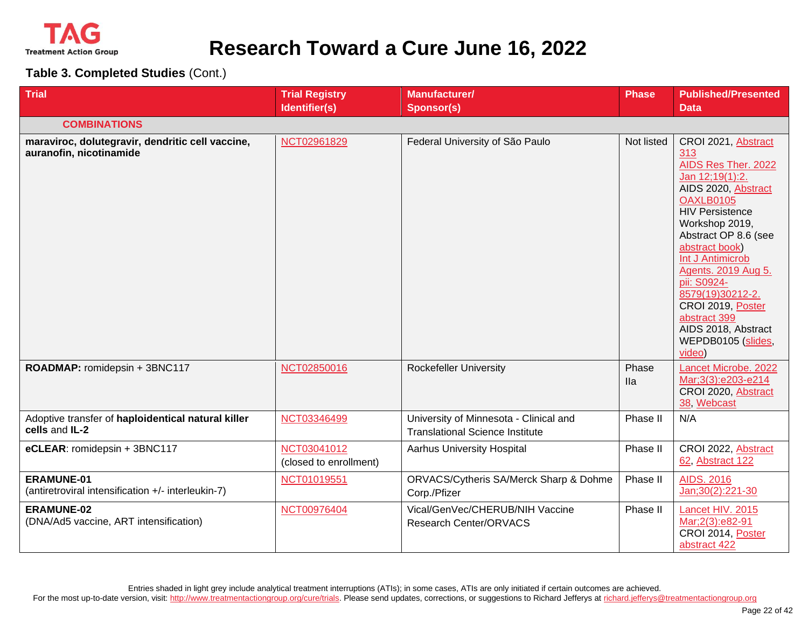

**Table 3. Completed Studies** (Cont.)

| <b>Trial</b>                                                                | <b>Trial Registry</b><br>Identifier(s) | <b>Manufacturer/</b><br><b>Sponsor(s)</b>                                        | <b>Phase</b>        | <b>Published/Presented</b><br><b>Data</b>                                                                                                                                                                                                                                                                                                                                       |
|-----------------------------------------------------------------------------|----------------------------------------|----------------------------------------------------------------------------------|---------------------|---------------------------------------------------------------------------------------------------------------------------------------------------------------------------------------------------------------------------------------------------------------------------------------------------------------------------------------------------------------------------------|
| <b>COMBINATIONS</b>                                                         |                                        |                                                                                  |                     |                                                                                                                                                                                                                                                                                                                                                                                 |
| maraviroc, dolutegravir, dendritic cell vaccine,<br>auranofin, nicotinamide | NCT02961829                            | Federal University of São Paulo                                                  | Not listed          | CROI 2021, Abstract<br>313<br>AIDS Res Ther. 2022<br>Jan 12;19(1):2.<br>AIDS 2020, Abstract<br><b>OAXLB0105</b><br><b>HIV Persistence</b><br>Workshop 2019,<br>Abstract OP 8.6 (see<br>abstract book)<br>Int J Antimicrob<br>Agents. 2019 Aug 5.<br>pii: S0924-<br>8579(19)30212-2.<br>CROI 2019, Poster<br>abstract 399<br>AIDS 2018, Abstract<br>WEPDB0105 (slides,<br>video) |
| ROADMAP: romidepsin + 3BNC117                                               | NCT02850016                            | <b>Rockefeller University</b>                                                    | Phase<br><b>Ila</b> | Lancet Microbe. 2022<br>Mar;3(3):e203-e214<br>CROI 2020, Abstract<br>38, Webcast                                                                                                                                                                                                                                                                                                |
| Adoptive transfer of haploidentical natural killer<br>cells and IL-2        | NCT03346499                            | University of Minnesota - Clinical and<br><b>Translational Science Institute</b> | Phase II            | N/A                                                                                                                                                                                                                                                                                                                                                                             |
| eCLEAR: romidepsin + 3BNC117                                                | NCT03041012<br>(closed to enrollment)  | <b>Aarhus University Hospital</b>                                                | Phase II            | CROI 2022, Abstract<br>62, Abstract 122                                                                                                                                                                                                                                                                                                                                         |
| <b>ERAMUNE-01</b><br>(antiretroviral intensification +/- interleukin-7)     | NCT01019551                            | ORVACS/Cytheris SA/Merck Sharp & Dohme<br>Corp./Pfizer                           | Phase II            | <b>AIDS. 2016</b><br>Jan; 30(2): 221-30                                                                                                                                                                                                                                                                                                                                         |
| <b>ERAMUNE-02</b><br>(DNA/Ad5 vaccine, ART intensification)                 | NCT00976404                            | Vical/GenVec/CHERUB/NIH Vaccine<br><b>Research Center/ORVACS</b>                 | Phase II            | Lancet HIV. 2015<br>Mar;2(3):e82-91<br>CROI 2014, Poster<br>abstract 422                                                                                                                                                                                                                                                                                                        |

Entries shaded in light grey include analytical treatment interruptions (ATIs); in some cases, ATIs are only initiated if certain outcomes are achieved. For the most up-to-date version, visit[: http://www.treatmentactiongroup.org/cure/trials.](http://www.treatmentactiongroup.org/cure/trials) Please send updates, corrections, or suggestions to Richard Jefferys a[t richard.jefferys@treatmentactiongroup.org](mailto:richard.jefferys@treatmentactiongroup.org)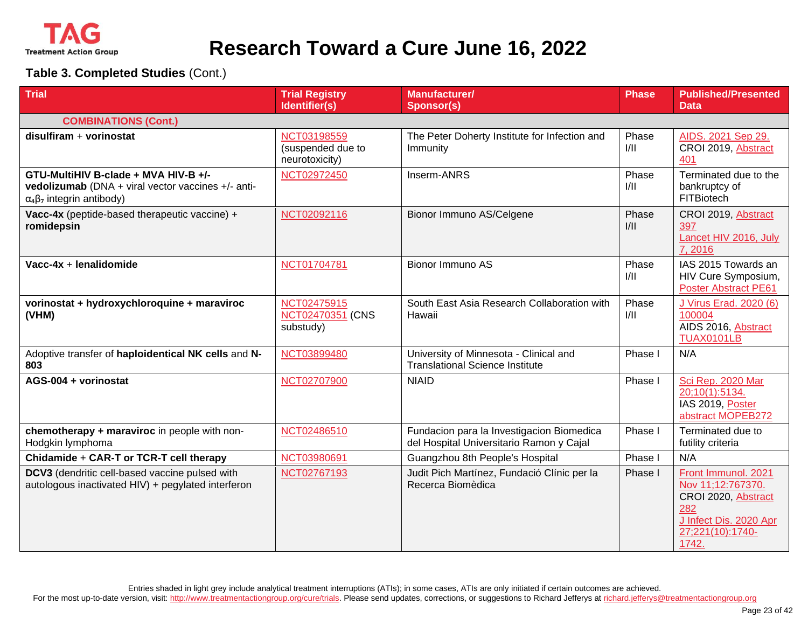

| <b>Trial</b>                                                                                                                       | <b>Trial Registry</b><br>Identifier(s)             | <b>Manufacturer/</b><br><b>Sponsor(s)</b>                                             | <b>Phase</b>  | <b>Published/Presented</b><br><b>Data</b>                                                                                     |
|------------------------------------------------------------------------------------------------------------------------------------|----------------------------------------------------|---------------------------------------------------------------------------------------|---------------|-------------------------------------------------------------------------------------------------------------------------------|
| <b>COMBINATIONS (Cont.)</b>                                                                                                        |                                                    |                                                                                       |               |                                                                                                                               |
| disulfiram + vorinostat                                                                                                            | NCT03198559<br>(suspended due to<br>neurotoxicity) | The Peter Doherty Institute for Infection and<br>Immunity                             | Phase<br>1/11 | AIDS. 2021 Sep 29.<br>CROI 2019, Abstract<br>401                                                                              |
| GTU-MultiHIV B-clade + MVA HIV-B +/-<br>vedolizumab (DNA + viral vector vaccines +/- anti-<br>$\alpha_4\beta_7$ integrin antibody) | NCT02972450                                        | Inserm-ANRS                                                                           | Phase<br>1/11 | Terminated due to the<br>bankruptcy of<br>FITBiotech                                                                          |
| Vacc-4x (peptide-based therapeutic vaccine) +<br>romidepsin                                                                        | NCT02092116                                        | Bionor Immuno AS/Celgene                                                              | Phase<br>1/11 | CROI 2019, Abstract<br>397<br>Lancet HIV 2016, July<br>7,2016                                                                 |
| Vacc-4x + lenalidomide                                                                                                             | NCT01704781                                        | Bionor Immuno AS                                                                      | Phase<br>1/11 | IAS 2015 Towards an<br>HIV Cure Symposium,<br><b>Poster Abstract PE61</b>                                                     |
| vorinostat + hydroxychloroquine + maraviroc<br>(VHM)                                                                               | NCT02475915<br>NCT02470351 (CNS<br>substudy)       | South East Asia Research Collaboration with<br>Hawaii                                 | Phase<br>1/11 | J Virus Erad. 2020 (6)<br>100004<br>AIDS 2016, Abstract<br><b>TUAX0101LB</b>                                                  |
| Adoptive transfer of haploidentical NK cells and N-<br>803                                                                         | NCT03899480                                        | University of Minnesota - Clinical and<br><b>Translational Science Institute</b>      | Phase I       | N/A                                                                                                                           |
| AGS-004 + vorinostat                                                                                                               | NCT02707900                                        | <b>NIAID</b>                                                                          | Phase I       | Sci Rep. 2020 Mar<br>20;10(1):5134.<br>IAS 2019, Poster<br>abstract MOPEB272                                                  |
| chemotherapy + maraviroc in people with non-<br>Hodgkin lymphoma                                                                   | NCT02486510                                        | Fundacion para la Investigacion Biomedica<br>del Hospital Universitario Ramon y Cajal | Phase I       | Terminated due to<br>futility criteria                                                                                        |
| Chidamide + CAR-T or TCR-T cell therapy                                                                                            | NCT03980691                                        | Guangzhou 8th People's Hospital                                                       | Phase I       | N/A                                                                                                                           |
| DCV3 (dendritic cell-based vaccine pulsed with<br>autologous inactivated HIV) + pegylated interferon                               | NCT02767193                                        | Judit Pich Martínez, Fundació Clínic per la<br>Recerca Biomèdica                      | Phase I       | Front Immunol. 2021<br>Nov 11;12:767370.<br>CROI 2020, Abstract<br>282<br>J Infect Dis. 2020 Apr<br>27;221(10):1740-<br>1742. |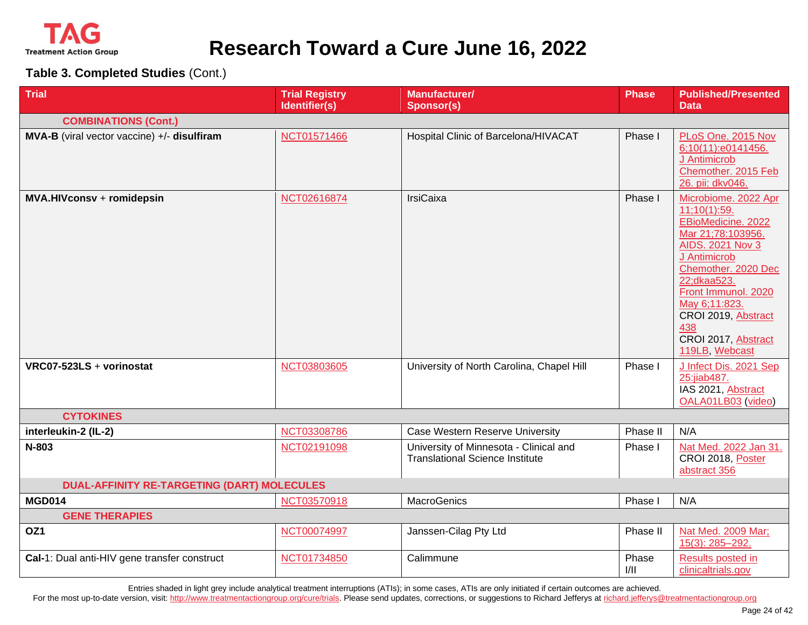

**Table 3. Completed Studies** (Cont.)

| <b>Trial</b>                                       | <b>Trial Registry</b> | Manufacturer/                                                                    | <b>Phase</b>  | <b>Published/Presented</b>                                                                                                                                                                                                                                                      |
|----------------------------------------------------|-----------------------|----------------------------------------------------------------------------------|---------------|---------------------------------------------------------------------------------------------------------------------------------------------------------------------------------------------------------------------------------------------------------------------------------|
|                                                    | Identifier(s)         | <b>Sponsor(s)</b>                                                                |               | Data                                                                                                                                                                                                                                                                            |
| <b>COMBINATIONS (Cont.)</b>                        |                       |                                                                                  |               |                                                                                                                                                                                                                                                                                 |
| MVA-B (viral vector vaccine) +/- disulfiram        | NCT01571466           | Hospital Clinic of Barcelona/HIVACAT                                             | Phase I       | PLoS One. 2015 Nov<br>6;10(11):e0141456.<br>J Antimicrob<br>Chemother. 2015 Feb<br>26. pii: dkv046.                                                                                                                                                                             |
| MVA.HIVconsv + romidepsin                          | NCT02616874           | <b>IrsiCaixa</b>                                                                 | Phase I       | Microbiome. 2022 Apr<br>11;10(1):59.<br>EBioMedicine. 2022<br>Mar 21;78:103956.<br><b>AIDS. 2021 Nov 3</b><br>J Antimicrob<br>Chemother, 2020 Dec<br>22;dkaa523.<br>Front Immunol. 2020<br>May 6;11:823.<br>CROI 2019, Abstract<br>438<br>CROI 2017, Abstract<br>119LB, Webcast |
| VRC07-523LS + vorinostat                           | NCT03803605           | University of North Carolina, Chapel Hill                                        | Phase I       | J Infect Dis. 2021 Sep<br>25:jiab487.<br>IAS 2021, Abstract<br>OALA01LB03 (video)                                                                                                                                                                                               |
| <b>CYTOKINES</b>                                   |                       |                                                                                  |               |                                                                                                                                                                                                                                                                                 |
| interleukin-2 (IL-2)                               | NCT03308786           | Case Western Reserve University                                                  | Phase II      | N/A                                                                                                                                                                                                                                                                             |
| N-803                                              | NCT02191098           | University of Minnesota - Clinical and<br><b>Translational Science Institute</b> | Phase I       | Nat Med. 2022 Jan 31.<br>CROI 2018, Poster<br>abstract 356                                                                                                                                                                                                                      |
| <b>DUAL-AFFINITY RE-TARGETING (DART) MOLECULES</b> |                       |                                                                                  |               |                                                                                                                                                                                                                                                                                 |
| <b>MGD014</b>                                      | NCT03570918           | <b>MacroGenics</b>                                                               | Phase I       | N/A                                                                                                                                                                                                                                                                             |
| <b>GENE THERAPIES</b>                              |                       |                                                                                  |               |                                                                                                                                                                                                                                                                                 |
| OZ1                                                | NCT00074997           | Janssen-Cilag Pty Ltd                                                            | Phase II      | Nat Med. 2009 Mar;<br>15(3): 285-292.                                                                                                                                                                                                                                           |
| Cal-1: Dual anti-HIV gene transfer construct       | NCT01734850           | Calimmune                                                                        | Phase<br>1/11 | Results posted in<br>clinicaltrials.gov                                                                                                                                                                                                                                         |

Entries shaded in light grey include analytical treatment interruptions (ATIs); in some cases, ATIs are only initiated if certain outcomes are achieved.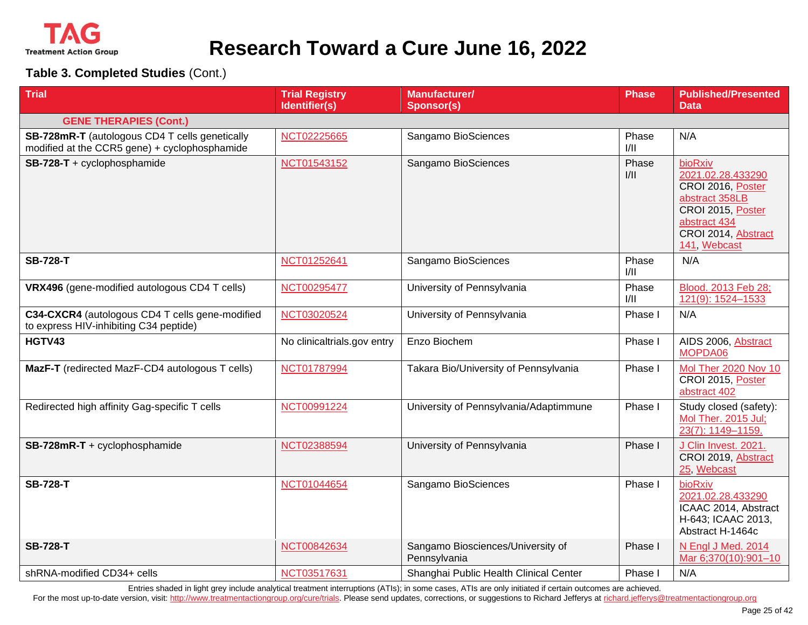

**Table 3. Completed Studies** (Cont.)

| <b>Trial</b>                                                                                    | <b>Trial Registry</b><br>Identifier(s) | Manufacturer/<br><b>Sponsor(s)</b>                | <b>Phase</b>  | <b>Published/Presented</b><br><b>Data</b>                                                                                                       |
|-------------------------------------------------------------------------------------------------|----------------------------------------|---------------------------------------------------|---------------|-------------------------------------------------------------------------------------------------------------------------------------------------|
| <b>GENE THERAPIES (Cont.)</b>                                                                   |                                        |                                                   |               |                                                                                                                                                 |
| SB-728mR-T (autologous CD4 T cells genetically<br>modified at the CCR5 gene) + cyclophosphamide | NCT02225665                            | Sangamo BioSciences                               | Phase<br>1/11 | N/A                                                                                                                                             |
| SB-728-T + cyclophosphamide                                                                     | NCT01543152                            | Sangamo BioSciences                               | Phase<br>1/11 | bioRxiv<br>2021.02.28.433290<br>CROI 2016, Poster<br>abstract 358LB<br>CROI 2015, Poster<br>abstract 434<br>CROI 2014, Abstract<br>141, Webcast |
| <b>SB-728-T</b>                                                                                 | NCT01252641                            | Sangamo BioSciences                               | Phase<br>1/11 | N/A                                                                                                                                             |
| VRX496 (gene-modified autologous CD4 T cells)                                                   | NCT00295477                            | University of Pennsylvania                        | Phase<br>1/11 | Blood. 2013 Feb 28;<br>121(9): 1524-1533                                                                                                        |
| C34-CXCR4 (autologous CD4 T cells gene-modified<br>to express HIV-inhibiting C34 peptide)       | NCT03020524                            | University of Pennsylvania                        | Phase I       | N/A                                                                                                                                             |
| HGTV43                                                                                          | No clinicaltrials.gov entry            | Enzo Biochem                                      | Phase I       | AIDS 2006, Abstract<br>MOPDA06                                                                                                                  |
| MazF-T (redirected MazF-CD4 autologous T cells)                                                 | NCT01787994                            | Takara Bio/University of Pennsylvania             | Phase I       | Mol Ther 2020 Nov 10<br>CROI 2015, Poster<br>abstract 402                                                                                       |
| Redirected high affinity Gag-specific T cells                                                   | NCT00991224                            | University of Pennsylvania/Adaptimmune            | Phase I       | Study closed (safety):<br>Mol Ther. 2015 Jul;<br>23(7): 1149-1159.                                                                              |
| SB-728mR-T + cyclophosphamide                                                                   | NCT02388594                            | University of Pennsylvania                        | Phase I       | J Clin Invest. 2021.<br>CROI 2019, Abstract<br>25, Webcast                                                                                      |
| <b>SB-728-T</b>                                                                                 | NCT01044654                            | Sangamo BioSciences                               | Phase I       | bioRxiv<br>2021.02.28.433290<br>ICAAC 2014, Abstract<br>H-643; ICAAC 2013,<br>Abstract H-1464c                                                  |
| <b>SB-728-T</b>                                                                                 | NCT00842634                            | Sangamo Biosciences/University of<br>Pennsylvania | Phase I       | N Engl J Med. 2014<br>Mar 6;370(10):901-10                                                                                                      |
| shRNA-modified CD34+ cells                                                                      | NCT03517631                            | Shanghai Public Health Clinical Center            | Phase I       | N/A                                                                                                                                             |

Entries shaded in light grey include analytical treatment interruptions (ATIs); in some cases, ATIs are only initiated if certain outcomes are achieved.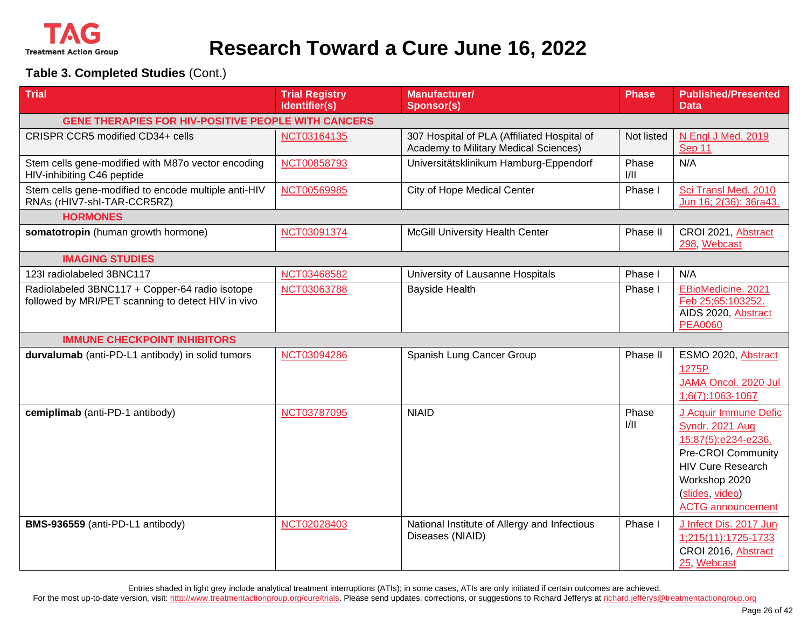

#### **Table 3. Completed Studies** (Cont.)

| <b>Trial</b>                                                                                         | <b>Trial Registry</b><br>Identifier(s) | <b>Manufacturer/</b><br><b>Sponsor(s)</b>                                            | <b>Phase</b>  | <b>Published/Presented</b><br>Data                                                                                                                                                |
|------------------------------------------------------------------------------------------------------|----------------------------------------|--------------------------------------------------------------------------------------|---------------|-----------------------------------------------------------------------------------------------------------------------------------------------------------------------------------|
| <b>GENE THERAPIES FOR HIV-POSITIVE PEOPLE WITH CANCERS</b>                                           |                                        |                                                                                      |               |                                                                                                                                                                                   |
| CRISPR CCR5 modified CD34+ cells                                                                     | NCT03164135                            | 307 Hospital of PLA (Affiliated Hospital of<br>Academy to Military Medical Sciences) | Not listed    | N Engl J Med. 2019<br>Sep 11                                                                                                                                                      |
| Stem cells gene-modified with M87o vector encoding<br>HIV-inhibiting C46 peptide                     | NCT00858793                            | Universitätsklinikum Hamburg-Eppendorf                                               | Phase<br>1/11 | N/A                                                                                                                                                                               |
| Stem cells gene-modified to encode multiple anti-HIV<br>RNAs (rHIV7-shl-TAR-CCR5RZ)                  | NCT00569985                            | City of Hope Medical Center                                                          | Phase I       | Sci Transl Med. 2010<br>Jun 16; 2(36): 36ra43.                                                                                                                                    |
| <b>HORMONES</b>                                                                                      |                                        |                                                                                      |               |                                                                                                                                                                                   |
| somatotropin (human growth hormone)                                                                  | NCT03091374                            | <b>McGill University Health Center</b>                                               | Phase II      | CROI 2021, Abstract<br>298, Webcast                                                                                                                                               |
| <b>IMAGING STUDIES</b>                                                                               |                                        |                                                                                      |               |                                                                                                                                                                                   |
| 123I radiolabeled 3BNC117                                                                            | NCT03468582                            | University of Lausanne Hospitals                                                     | Phase I       | N/A                                                                                                                                                                               |
| Radiolabeled 3BNC117 + Copper-64 radio isotope<br>followed by MRI/PET scanning to detect HIV in vivo | NCT03063788                            | <b>Bayside Health</b>                                                                | Phase I       | EBioMedicine. 2021<br>Feb 25;65:103252.<br>AIDS 2020, Abstract<br><b>PEA0060</b>                                                                                                  |
| <b>IMMUNE CHECKPOINT INHIBITORS</b>                                                                  |                                        |                                                                                      |               |                                                                                                                                                                                   |
| durvalumab (anti-PD-L1 antibody) in solid tumors                                                     | NCT03094286                            | Spanish Lung Cancer Group                                                            | Phase II      | ESMO 2020, Abstract<br>1275P<br>JAMA Oncol. 2020 Jul<br>1;6(7):1063-1067                                                                                                          |
| cemiplimab (anti-PD-1 antibody)                                                                      | NCT03787095                            | <b>NIAID</b>                                                                         | Phase<br>1/11 | J Acquir Immune Defic<br>Syndr. 2021 Aug<br>15;87(5):e234-e236.<br>Pre-CROI Community<br><b>HIV Cure Research</b><br>Workshop 2020<br>(slides, video)<br><b>ACTG</b> announcement |
| BMS-936559 (anti-PD-L1 antibody)                                                                     | NCT02028403                            | National Institute of Allergy and Infectious<br>Diseases (NIAID)                     | Phase I       | J Infect Dis. 2017 Jun<br>1;215(11):1725-1733<br>CROI 2016, Abstract<br>25, Webcast                                                                                               |

Entries shaded in light grey include analytical treatment interruptions (ATIs); in some cases, ATIs are only initiated if certain outcomes are achieved.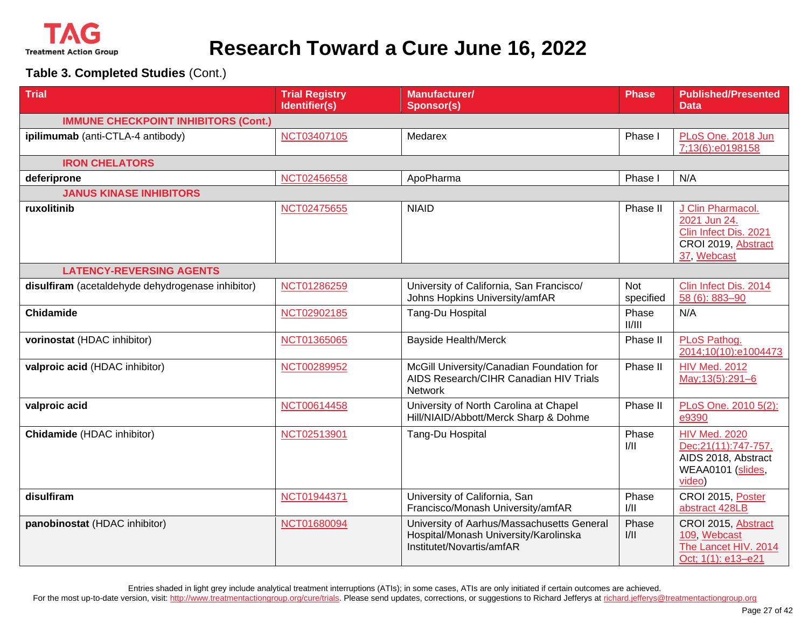

**Table 3. Completed Studies** (Cont.)

| <b>Trial</b>                                      | <b>Trial Registry</b><br>Identifier(s) | Manufacturer/<br><b>Sponsor(s)</b>                                                                               | <b>Phase</b>     | <b>Published/Presented</b><br><b>Data</b>                                                           |  |  |  |
|---------------------------------------------------|----------------------------------------|------------------------------------------------------------------------------------------------------------------|------------------|-----------------------------------------------------------------------------------------------------|--|--|--|
| <b>IMMUNE CHECKPOINT INHIBITORS (Cont.)</b>       |                                        |                                                                                                                  |                  |                                                                                                     |  |  |  |
| ipilimumab (anti-CTLA-4 antibody)                 | NCT03407105                            | Medarex                                                                                                          | Phase I          | PLoS One. 2018 Jun<br>7;13(6):e0198158                                                              |  |  |  |
| <b>IRON CHELATORS</b>                             |                                        |                                                                                                                  |                  |                                                                                                     |  |  |  |
| deferiprone                                       | NCT02456558                            | ApoPharma                                                                                                        | Phase I          | N/A                                                                                                 |  |  |  |
| <b>JANUS KINASE INHIBITORS</b>                    |                                        |                                                                                                                  |                  |                                                                                                     |  |  |  |
| ruxolitinib                                       | NCT02475655                            | <b>NIAID</b>                                                                                                     | Phase II         | J Clin Pharmacol.<br>2021 Jun 24.<br>Clin Infect Dis. 2021<br>CROI 2019, Abstract<br>37, Webcast    |  |  |  |
| <b>LATENCY-REVERSING AGENTS</b>                   |                                        |                                                                                                                  |                  |                                                                                                     |  |  |  |
| disulfiram (acetaldehyde dehydrogenase inhibitor) | NCT01286259                            | University of California, San Francisco/<br>Johns Hopkins University/amfAR                                       | Not<br>specified | Clin Infect Dis. 2014<br>58 (6): 883-90                                                             |  |  |  |
| <b>Chidamide</b>                                  | NCT02902185                            | Tang-Du Hospital                                                                                                 | Phase<br>II/III  | N/A                                                                                                 |  |  |  |
| vorinostat (HDAC inhibitor)                       | NCT01365065                            | <b>Bayside Health/Merck</b>                                                                                      | Phase II         | PLoS Pathog.<br>2014;10(10):e1004473                                                                |  |  |  |
| valproic acid (HDAC inhibitor)                    | NCT00289952                            | McGill University/Canadian Foundation for<br>AIDS Research/CIHR Canadian HIV Trials<br>Network                   | Phase II         | <b>HIV Med. 2012</b><br>May; 13(5): 291-6                                                           |  |  |  |
| valproic acid                                     | NCT00614458                            | University of North Carolina at Chapel<br>Hill/NIAID/Abbott/Merck Sharp & Dohme                                  | Phase II         | PLoS One. 2010 5(2):<br>e9390                                                                       |  |  |  |
| <b>Chidamide</b> (HDAC inhibitor)                 | NCT02513901                            | Tang-Du Hospital                                                                                                 | Phase<br>1/11    | <b>HIV Med. 2020</b><br>Dec; 21(11): 747-757.<br>AIDS 2018, Abstract<br>WEAA0101 (slides,<br>video) |  |  |  |
| disulfiram                                        | NCT01944371                            | University of California, San<br>Francisco/Monash University/amfAR                                               | Phase<br>1/11    | CROI 2015, Poster<br>abstract 428LB                                                                 |  |  |  |
| panobinostat (HDAC inhibitor)                     | NCT01680094                            | University of Aarhus/Massachusetts General<br>Hospital/Monash University/Karolinska<br>Institutet/Novartis/amfAR | Phase<br>1/11    | CROI 2015, Abstract<br>109, Webcast<br>The Lancet HIV. 2014<br>Oct; 1(1): e13-e21                   |  |  |  |

Entries shaded in light grey include analytical treatment interruptions (ATIs); in some cases, ATIs are only initiated if certain outcomes are achieved.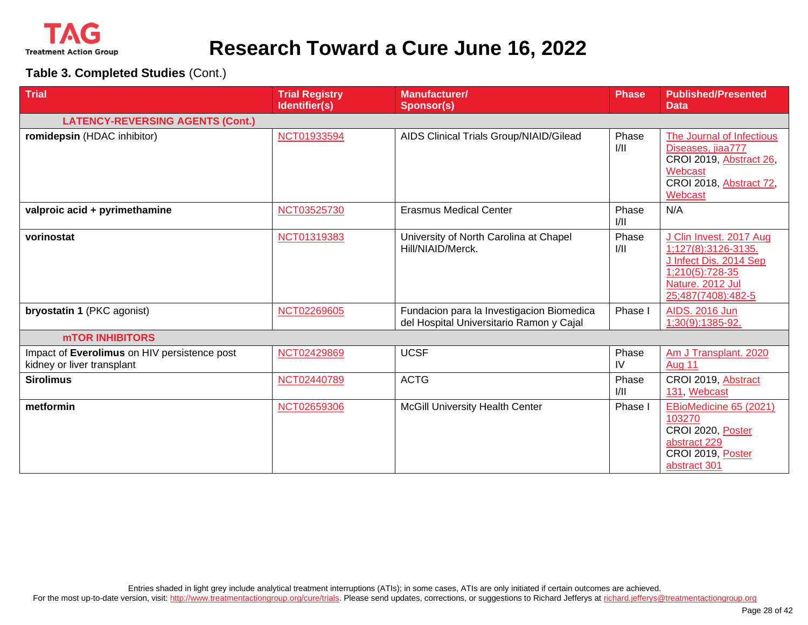

| <b>Trial</b>                                                               | <b>Trial Registry</b><br>Identifier(s) | <b>Manufacturer/</b><br><b>Sponsor(s)</b>                                             | <b>Phase</b>  | <b>Published/Presented</b><br><b>Data</b>                                                                                             |
|----------------------------------------------------------------------------|----------------------------------------|---------------------------------------------------------------------------------------|---------------|---------------------------------------------------------------------------------------------------------------------------------------|
| <b>LATENCY-REVERSING AGENTS (Cont.)</b>                                    |                                        |                                                                                       |               |                                                                                                                                       |
| romidepsin (HDAC inhibitor)                                                | NCT01933594                            | AIDS Clinical Trials Group/NIAID/Gilead                                               | Phase<br>1/11 | The Journal of Infectious<br>Diseases, jiaa777<br>CROI 2019, Abstract 26,<br>Webcast<br>CROI 2018, Abstract 72,<br>Webcast            |
| valproic acid + pyrimethamine                                              | NCT03525730                            | <b>Erasmus Medical Center</b>                                                         | Phase<br>I/II | N/A                                                                                                                                   |
| vorinostat                                                                 | NCT01319383                            | University of North Carolina at Chapel<br>Hill/NIAID/Merck.                           | Phase<br>1/11 | J Clin Invest. 2017 Aug<br>1;127(8):3126-3135.<br>J Infect Dis. 2014 Sep<br>1;210(5):728-35<br>Nature. 2012 Jul<br>25;487(7408):482-5 |
| bryostatin 1 (PKC agonist)                                                 | NCT02269605                            | Fundacion para la Investigacion Biomedica<br>del Hospital Universitario Ramon y Cajal | Phase I       | <b>AIDS. 2016 Jun</b><br>1;30(9):1385-92.                                                                                             |
| <b>MTOR INHIBITORS</b>                                                     |                                        |                                                                                       |               |                                                                                                                                       |
| Impact of Everolimus on HIV persistence post<br>kidney or liver transplant | NCT02429869                            | <b>UCSF</b>                                                                           | Phase<br>IV   | Am J Transplant. 2020<br>Aug 11                                                                                                       |
| <b>Sirolimus</b>                                                           | NCT02440789                            | <b>ACTG</b>                                                                           | Phase<br>1/11 | CROI 2019, Abstract<br>131, Webcast                                                                                                   |
| metformin                                                                  | NCT02659306                            | McGill University Health Center                                                       | Phase I       | EBioMedicine 65 (2021)<br>103270<br>CROI 2020, Poster<br>abstract 229<br>CROI 2019, Poster<br>abstract 301                            |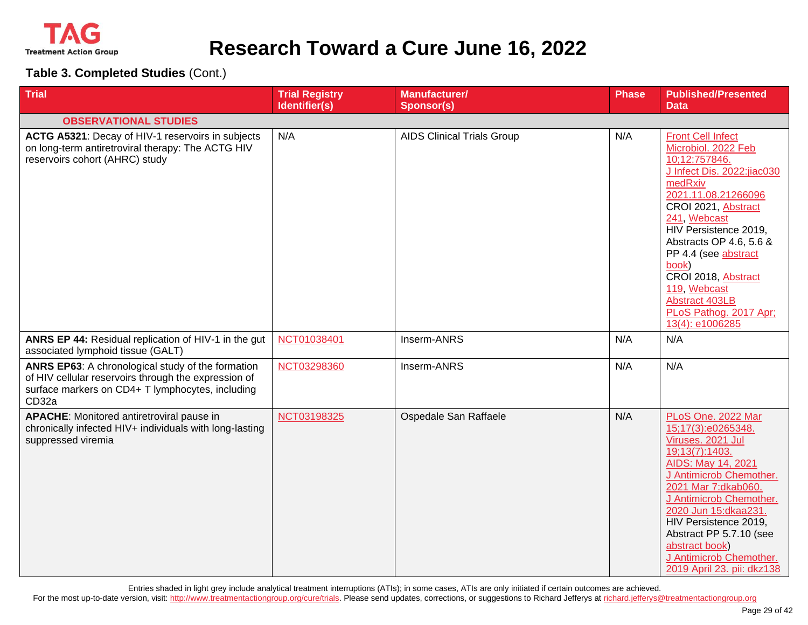

**Table 3. Completed Studies** (Cont.)

| <b>Trial</b>                                                                                                                                                           | <b>Trial Registry</b><br>Identifier(s) | Manufacturer/<br><b>Sponsor(s)</b> | Phase | <b>Published/Presented</b><br><b>Data</b>                                                                                                                                                                                                                                                                                                                          |
|------------------------------------------------------------------------------------------------------------------------------------------------------------------------|----------------------------------------|------------------------------------|-------|--------------------------------------------------------------------------------------------------------------------------------------------------------------------------------------------------------------------------------------------------------------------------------------------------------------------------------------------------------------------|
| <b>OBSERVATIONAL STUDIES</b>                                                                                                                                           |                                        |                                    |       |                                                                                                                                                                                                                                                                                                                                                                    |
| ACTG A5321: Decay of HIV-1 reservoirs in subjects<br>on long-term antiretroviral therapy: The ACTG HIV<br>reservoirs cohort (AHRC) study                               | N/A                                    | <b>AIDS Clinical Trials Group</b>  | N/A   | <b>Front Cell Infect</b><br>Microbiol. 2022 Feb<br>10;12:757846.<br>J Infect Dis. 2022:jiac030<br>medRxiv<br>2021.11.08.21266096<br>CROI 2021, Abstract<br>241, Webcast<br>HIV Persistence 2019,<br>Abstracts OP 4.6, 5.6 &<br>PP 4.4 (see abstract<br>book)<br>CROI 2018, Abstract<br>119, Webcast<br>Abstract 403LB<br>PLoS Pathog. 2017 Apr;<br>13(4): e1006285 |
| ANRS EP 44: Residual replication of HIV-1 in the gut<br>associated lymphoid tissue (GALT)                                                                              | NCT01038401                            | Inserm-ANRS                        | N/A   | N/A                                                                                                                                                                                                                                                                                                                                                                |
| ANRS EP63: A chronological study of the formation<br>of HIV cellular reservoirs through the expression of<br>surface markers on CD4+ T lymphocytes, including<br>CD32a | NCT03298360                            | Inserm-ANRS                        | N/A   | N/A                                                                                                                                                                                                                                                                                                                                                                |
| <b>APACHE:</b> Monitored antiretroviral pause in<br>chronically infected HIV+ individuals with long-lasting<br>suppressed viremia                                      | NCT03198325                            | Ospedale San Raffaele              | N/A   | PLoS One. 2022 Mar<br>15;17(3):e0265348.<br>Viruses. 2021 Jul<br>19;13(7):1403.<br>AIDS: May 14, 2021<br>J Antimicrob Chemother.<br>2021 Mar 7:dkab060.<br>J Antimicrob Chemother.<br>2020 Jun 15:dkaa231.<br>HIV Persistence 2019,<br>Abstract PP 5.7.10 (see<br>abstract book)<br>J Antimicrob Chemother.<br>2019 April 23. pii: dkz138                          |

Entries shaded in light grey include analytical treatment interruptions (ATIs); in some cases, ATIs are only initiated if certain outcomes are achieved.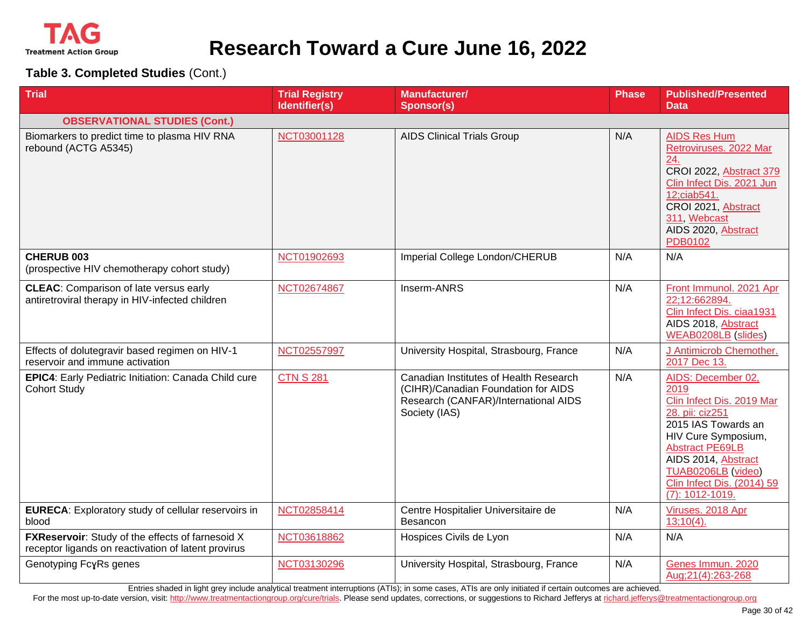

**Table 3. Completed Studies** (Cont.)

| <b>Trial</b>                                                                                                   | <b>Trial Registry</b><br>Identifier(s) | <b>Manufacturer/</b><br><b>Sponsor(s)</b>                                                                                              | <b>Phase</b> | <b>Published/Presented</b><br><b>Data</b>                                                                                                                                                                                                                   |
|----------------------------------------------------------------------------------------------------------------|----------------------------------------|----------------------------------------------------------------------------------------------------------------------------------------|--------------|-------------------------------------------------------------------------------------------------------------------------------------------------------------------------------------------------------------------------------------------------------------|
| <b>OBSERVATIONAL STUDIES (Cont.)</b>                                                                           |                                        |                                                                                                                                        |              |                                                                                                                                                                                                                                                             |
| Biomarkers to predict time to plasma HIV RNA<br>rebound (ACTG A5345)                                           | NCT03001128                            | <b>AIDS Clinical Trials Group</b>                                                                                                      | N/A          | <b>AIDS Res Hum</b><br>Retroviruses. 2022 Mar<br>24.<br>CROI 2022, Abstract 379<br>Clin Infect Dis. 2021 Jun<br>12;ciab541.<br>CROI 2021, Abstract<br>311, Webcast<br>AIDS 2020, Abstract<br>PDB0102                                                        |
| CHERUB 003<br>(prospective HIV chemotherapy cohort study)                                                      | NCT01902693                            | Imperial College London/CHERUB                                                                                                         | N/A          | N/A                                                                                                                                                                                                                                                         |
| <b>CLEAC:</b> Comparison of late versus early<br>antiretroviral therapy in HIV-infected children               | NCT02674867                            | Inserm-ANRS                                                                                                                            | N/A          | Front Immunol. 2021 Apr<br>22;12:662894.<br>Clin Infect Dis. ciaa1931<br>AIDS 2018, Abstract<br><b>WEAB0208LB</b> (slides)                                                                                                                                  |
| Effects of dolutegravir based regimen on HIV-1<br>reservoir and immune activation                              | NCT02557997                            | University Hospital, Strasbourg, France                                                                                                | N/A          | J Antimicrob Chemother.<br>2017 Dec 13.                                                                                                                                                                                                                     |
| EPIC4: Early Pediatric Initiation: Canada Child cure<br><b>Cohort Study</b>                                    | <b>CTN S 281</b>                       | Canadian Institutes of Health Research<br>(CIHR)/Canadian Foundation for AIDS<br>Research (CANFAR)/International AIDS<br>Society (IAS) | N/A          | AIDS: December 02,<br>2019<br>Clin Infect Dis. 2019 Mar<br>28. pii: ciz251<br>2015 IAS Towards an<br>HIV Cure Symposium,<br><b>Abstract PE69LB</b><br>AIDS 2014, Abstract<br>TUAB0206LB (video)<br><b>Clin Infect Dis. (2014) 59</b><br>$(7): 1012 - 1019.$ |
| <b>EURECA:</b> Exploratory study of cellular reservoirs in<br>blood                                            | NCT02858414                            | Centre Hospitalier Universitaire de<br>Besancon                                                                                        | N/A          | Viruses. 2018 Apr<br>$13;10(4)$ .                                                                                                                                                                                                                           |
| <b>FXReservoir:</b> Study of the effects of farnesoid X<br>receptor ligands on reactivation of latent provirus | NCT03618862                            | Hospices Civils de Lyon                                                                                                                | N/A          | N/A                                                                                                                                                                                                                                                         |
| Genotyping FcyRs genes                                                                                         | NCT03130296                            | University Hospital, Strasbourg, France                                                                                                | N/A          | Genes Immun. 2020<br>Aug; 21(4): 263-268                                                                                                                                                                                                                    |

Entries shaded in light grey include analytical treatment interruptions (ATIs); in some cases, ATIs are only initiated if certain outcomes are achieved.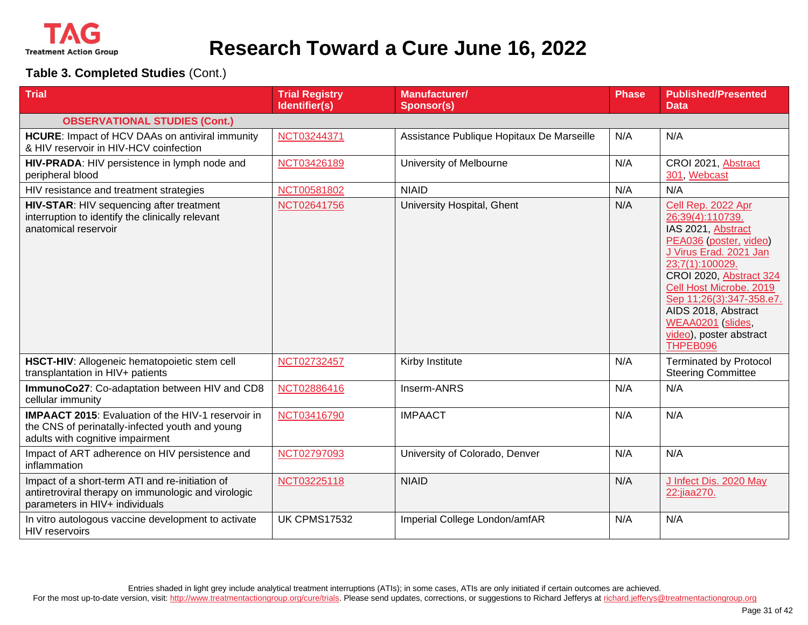

| <b>Trial</b>                                                                                                                                     | <b>Trial Registry</b><br>Identifier(s) | <b>Manufacturer/</b><br><b>Sponsor(s)</b> | <b>Phase</b> | <b>Published/Presented</b><br><b>Data</b>                                                                                                                                                                                                                                                                |
|--------------------------------------------------------------------------------------------------------------------------------------------------|----------------------------------------|-------------------------------------------|--------------|----------------------------------------------------------------------------------------------------------------------------------------------------------------------------------------------------------------------------------------------------------------------------------------------------------|
| <b>OBSERVATIONAL STUDIES (Cont.)</b>                                                                                                             |                                        |                                           |              |                                                                                                                                                                                                                                                                                                          |
| <b>HCURE:</b> Impact of HCV DAAs on antiviral immunity<br>& HIV reservoir in HIV-HCV coinfection                                                 | NCT03244371                            | Assistance Publique Hopitaux De Marseille | N/A          | N/A                                                                                                                                                                                                                                                                                                      |
| HIV-PRADA: HIV persistence in lymph node and<br>peripheral blood                                                                                 | NCT03426189                            | University of Melbourne                   | N/A          | CROI 2021, Abstract<br>301. Webcast                                                                                                                                                                                                                                                                      |
| HIV resistance and treatment strategies                                                                                                          | NCT00581802                            | <b>NIAID</b>                              | N/A          | N/A                                                                                                                                                                                                                                                                                                      |
| HIV-STAR: HIV sequencing after treatment<br>interruption to identify the clinically relevant<br>anatomical reservoir                             | NCT02641756                            | University Hospital, Ghent                | N/A          | Cell Rep. 2022 Apr<br>26;39(4):110739.<br>IAS 2021, Abstract<br>PEA036 (poster, video)<br>J Virus Erad. 2021 Jan<br>23;7(1):100029.<br>CROI 2020, Abstract 324<br>Cell Host Microbe. 2019<br>Sep 11;26(3):347-358.e7.<br>AIDS 2018, Abstract<br>WEAA0201 (slides,<br>video), poster abstract<br>THPEB096 |
| HSCT-HIV: Allogeneic hematopoietic stem cell<br>transplantation in HIV+ patients                                                                 | NCT02732457                            | Kirby Institute                           | N/A          | <b>Terminated by Protocol</b><br><b>Steering Committee</b>                                                                                                                                                                                                                                               |
| ImmunoCo27: Co-adaptation between HIV and CD8<br>cellular immunity                                                                               | NCT02886416                            | Inserm-ANRS                               | N/A          | N/A                                                                                                                                                                                                                                                                                                      |
| <b>IMPAACT 2015:</b> Evaluation of the HIV-1 reservoir in<br>the CNS of perinatally-infected youth and young<br>adults with cognitive impairment | NCT03416790                            | <b>IMPAACT</b>                            | N/A          | N/A                                                                                                                                                                                                                                                                                                      |
| Impact of ART adherence on HIV persistence and<br>inflammation                                                                                   | NCT02797093                            | University of Colorado, Denver            | N/A          | N/A                                                                                                                                                                                                                                                                                                      |
| Impact of a short-term ATI and re-initiation of<br>antiretroviral therapy on immunologic and virologic<br>parameters in HIV+ individuals         | NCT03225118                            | <b>NIAID</b>                              | N/A          | J Infect Dis. 2020 May<br>22:jiaa270.                                                                                                                                                                                                                                                                    |
| In vitro autologous vaccine development to activate<br>HIV reservoirs                                                                            | <b>UK CPMS17532</b>                    | Imperial College London/amfAR             | N/A          | N/A                                                                                                                                                                                                                                                                                                      |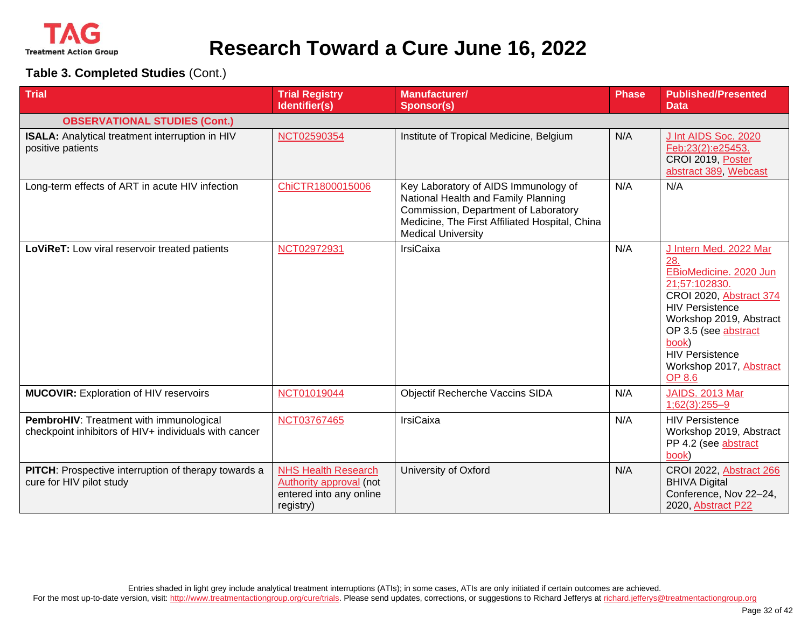

| <b>Trial</b>                                                                                     | <b>Trial Registry</b><br>Identifier(s)                                                        | <b>Manufacturer/</b><br><b>Sponsor(s)</b>                                                                                                                                                          | Phase | <b>Published/Presented</b><br><b>Data</b>                                                                                                                                                                                                                       |
|--------------------------------------------------------------------------------------------------|-----------------------------------------------------------------------------------------------|----------------------------------------------------------------------------------------------------------------------------------------------------------------------------------------------------|-------|-----------------------------------------------------------------------------------------------------------------------------------------------------------------------------------------------------------------------------------------------------------------|
| <b>OBSERVATIONAL STUDIES (Cont.)</b>                                                             |                                                                                               |                                                                                                                                                                                                    |       |                                                                                                                                                                                                                                                                 |
| ISALA: Analytical treatment interruption in HIV<br>positive patients                             | NCT02590354                                                                                   | Institute of Tropical Medicine, Belgium                                                                                                                                                            | N/A   | J Int AIDS Soc. 2020<br>Feb;23(2):e25453.<br>CROI 2019, Poster<br>abstract 389, Webcast                                                                                                                                                                         |
| Long-term effects of ART in acute HIV infection                                                  | ChiCTR1800015006                                                                              | Key Laboratory of AIDS Immunology of<br>National Health and Family Planning<br>Commission, Department of Laboratory<br>Medicine, The First Affiliated Hospital, China<br><b>Medical University</b> | N/A   | N/A                                                                                                                                                                                                                                                             |
| LoViReT: Low viral reservoir treated patients                                                    | NCT02972931                                                                                   | <b>IrsiCaixa</b>                                                                                                                                                                                   | N/A   | J Intern Med. 2022 Mar<br>28.<br>EBioMedicine. 2020 Jun<br>21;57:102830.<br>CROI 2020, Abstract 374<br><b>HIV Persistence</b><br>Workshop 2019, Abstract<br>OP 3.5 (see abstract<br>book)<br><b>HIV Persistence</b><br>Workshop 2017, Abstract<br><b>OP 8.6</b> |
| <b>MUCOVIR:</b> Exploration of HIV reservoirs                                                    | NCT01019044                                                                                   | Objectif Recherche Vaccins SIDA                                                                                                                                                                    | N/A   | <b>JAIDS. 2013 Mar</b><br>$1;62(3):255-9$                                                                                                                                                                                                                       |
| PembroHIV: Treatment with immunological<br>checkpoint inhibitors of HIV+ individuals with cancer | NCT03767465                                                                                   | <b>IrsiCaixa</b>                                                                                                                                                                                   | N/A   | <b>HIV Persistence</b><br>Workshop 2019, Abstract<br>PP 4.2 (see abstract<br>book)                                                                                                                                                                              |
| <b>PITCH:</b> Prospective interruption of therapy towards a<br>cure for HIV pilot study          | <b>NHS Health Research</b><br>Authority approval (not<br>entered into any online<br>registry) | University of Oxford                                                                                                                                                                               | N/A   | <b>CROI 2022, Abstract 266</b><br><b>BHIVA Digital</b><br>Conference, Nov 22-24,<br>2020, Abstract P22                                                                                                                                                          |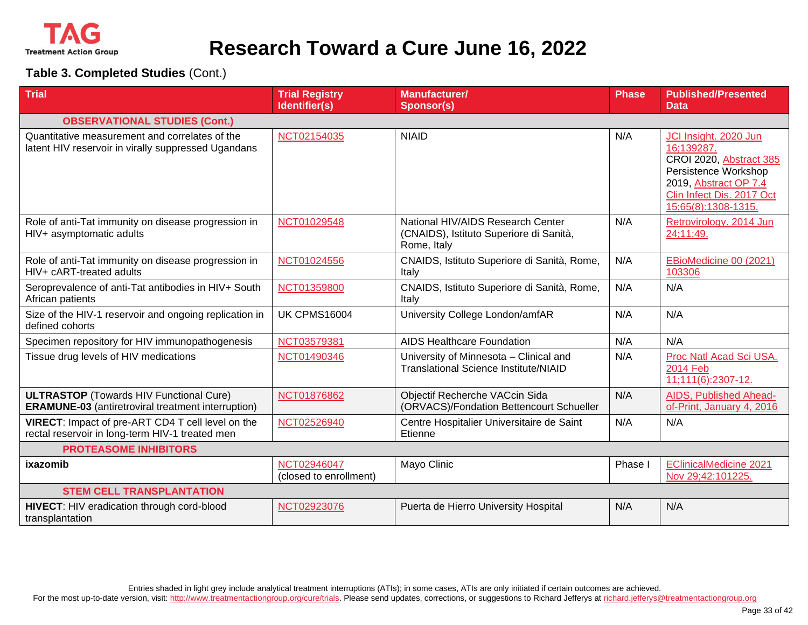

| <b>Trial</b>                                                                                                | <b>Trial Registry</b><br>Identifier(s) | <b>Manufacturer/</b><br><b>Sponsor(s)</b>                                                   | <b>Phase</b> | <b>Published/Presented</b><br><b>Data</b>                                                                                                                           |
|-------------------------------------------------------------------------------------------------------------|----------------------------------------|---------------------------------------------------------------------------------------------|--------------|---------------------------------------------------------------------------------------------------------------------------------------------------------------------|
| <b>OBSERVATIONAL STUDIES (Cont.)</b>                                                                        |                                        |                                                                                             |              |                                                                                                                                                                     |
| Quantitative measurement and correlates of the<br>latent HIV reservoir in virally suppressed Ugandans       | NCT02154035                            | <b>NIAID</b>                                                                                | N/A          | JCI Insight. 2020 Jun<br>16:139287.<br>CROI 2020, Abstract 385<br>Persistence Workshop<br>2019, Abstract OP 7.4<br>Clin Infect Dis. 2017 Oct<br>15;65(8):1308-1315. |
| Role of anti-Tat immunity on disease progression in<br>HIV+ asymptomatic adults                             | NCT01029548                            | National HIV/AIDS Research Center<br>(CNAIDS), Istituto Superiore di Sanità,<br>Rome, Italy | N/A          | Retrovirology. 2014 Jun<br>24;11:49.                                                                                                                                |
| Role of anti-Tat immunity on disease progression in<br>HIV+ cART-treated adults                             | NCT01024556                            | CNAIDS, Istituto Superiore di Sanità, Rome,<br>Italy                                        | N/A          | EBioMedicine 00 (2021)<br>103306                                                                                                                                    |
| Seroprevalence of anti-Tat antibodies in HIV+ South<br>African patients                                     | NCT01359800                            | CNAIDS, Istituto Superiore di Sanità, Rome,<br>Italy                                        | N/A          | N/A                                                                                                                                                                 |
| Size of the HIV-1 reservoir and ongoing replication in<br>defined cohorts                                   | <b>UK CPMS16004</b>                    | University College London/amfAR                                                             | N/A          | N/A                                                                                                                                                                 |
| Specimen repository for HIV immunopathogenesis                                                              | NCT03579381                            | <b>AIDS Healthcare Foundation</b>                                                           | N/A          | N/A                                                                                                                                                                 |
| Tissue drug levels of HIV medications                                                                       | NCT01490346                            | University of Minnesota - Clinical and<br><b>Translational Science Institute/NIAID</b>      | N/A          | Proc Natl Acad Sci USA.<br><b>2014 Feb</b><br>11;111(6):2307-12.                                                                                                    |
| <b>ULTRASTOP (Towards HIV Functional Cure)</b><br><b>ERAMUNE-03</b> (antiretroviral treatment interruption) | NCT01876862                            | Objectif Recherche VACcin Sida<br>(ORVACS)/Fondation Bettencourt Schueller                  | N/A          | AIDS, Published Ahead-<br>of-Print, January 4, 2016                                                                                                                 |
| VIRECT: Impact of pre-ART CD4 T cell level on the<br>rectal reservoir in long-term HIV-1 treated men        | NCT02526940                            | Centre Hospitalier Universitaire de Saint<br>Etienne                                        | N/A          | N/A                                                                                                                                                                 |
| <b>PROTEASOME INHIBITORS</b>                                                                                |                                        |                                                                                             |              |                                                                                                                                                                     |
| ixazomib                                                                                                    | NCT02946047<br>(closed to enrollment)  | Mayo Clinic                                                                                 | Phase I      | <b>EClinicalMedicine 2021</b><br>Nov 29;42:101225.                                                                                                                  |
| <b>STEM CELL TRANSPLANTATION</b>                                                                            |                                        |                                                                                             |              |                                                                                                                                                                     |
| HIVECT: HIV eradication through cord-blood<br>transplantation                                               | NCT02923076                            | Puerta de Hierro University Hospital                                                        | N/A          | N/A                                                                                                                                                                 |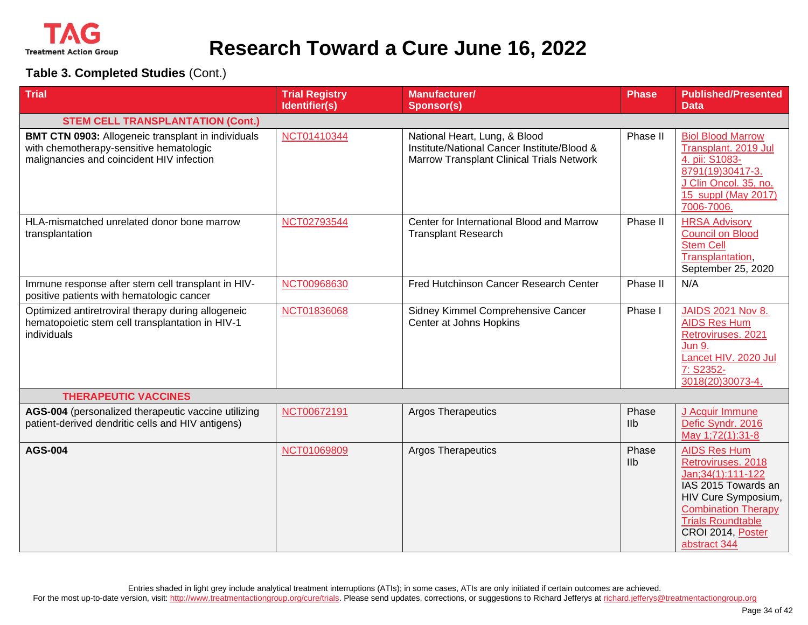

| <b>Trial</b>                                                                                                                                      | <b>Trial Registry</b><br>Identifier(s) | <b>Manufacturer/</b><br><b>Sponsor(s)</b>                                                                                 | <b>Phase</b>            | <b>Published/Presented</b><br><b>Data</b>                                                                                                                                                                     |
|---------------------------------------------------------------------------------------------------------------------------------------------------|----------------------------------------|---------------------------------------------------------------------------------------------------------------------------|-------------------------|---------------------------------------------------------------------------------------------------------------------------------------------------------------------------------------------------------------|
| <b>STEM CELL TRANSPLANTATION (Cont.)</b>                                                                                                          |                                        |                                                                                                                           |                         |                                                                                                                                                                                                               |
| <b>BMT CTN 0903: Allogeneic transplant in individuals</b><br>with chemotherapy-sensitive hematologic<br>malignancies and coincident HIV infection | NCT01410344                            | National Heart, Lung, & Blood<br>Institute/National Cancer Institute/Blood &<br>Marrow Transplant Clinical Trials Network | Phase II                | <b>Biol Blood Marrow</b><br>Transplant. 2019 Jul<br>4. pii: S1083-<br>8791(19)30417-3.<br>J Clin Oncol. 35, no.<br>15 suppl (May 2017)<br>7006-7006.                                                          |
| HLA-mismatched unrelated donor bone marrow<br>transplantation                                                                                     | NCT02793544                            | Center for International Blood and Marrow<br><b>Transplant Research</b>                                                   | Phase II                | <b>HRSA Advisory</b><br><b>Council on Blood</b><br><b>Stem Cell</b><br>Transplantation,<br>September 25, 2020                                                                                                 |
| Immune response after stem cell transplant in HIV-<br>positive patients with hematologic cancer                                                   | NCT00968630                            | Fred Hutchinson Cancer Research Center                                                                                    | Phase II                | N/A                                                                                                                                                                                                           |
| Optimized antiretroviral therapy during allogeneic<br>hematopoietic stem cell transplantation in HIV-1<br>individuals                             | NCT01836068                            | Sidney Kimmel Comprehensive Cancer<br>Center at Johns Hopkins                                                             | Phase I                 | <b>JAIDS 2021 Nov 8.</b><br><b>AIDS Res Hum</b><br>Retroviruses. 2021<br><b>Jun 9.</b><br>Lancet HIV. 2020 Jul<br>7: S2352-<br>3018(20)30073-4.                                                               |
| <b>THERAPEUTIC VACCINES</b>                                                                                                                       |                                        |                                                                                                                           |                         |                                                                                                                                                                                                               |
| AGS-004 (personalized therapeutic vaccine utilizing<br>patient-derived dendritic cells and HIV antigens)                                          | NCT00672191                            | <b>Argos Therapeutics</b>                                                                                                 | Phase<br><b>IIb</b>     | J Acquir Immune<br>Defic Syndr. 2016<br>May 1;72(1):31-8                                                                                                                                                      |
| <b>AGS-004</b>                                                                                                                                    | NCT01069809                            | <b>Argos Therapeutics</b>                                                                                                 | Phase<br>I <sub>1</sub> | <b>AIDS Res Hum</b><br>Retroviruses. 2018<br>Jan; 34(1): 111-122<br>IAS 2015 Towards an<br>HIV Cure Symposium,<br><b>Combination Therapy</b><br><b>Trials Roundtable</b><br>CROI 2014, Poster<br>abstract 344 |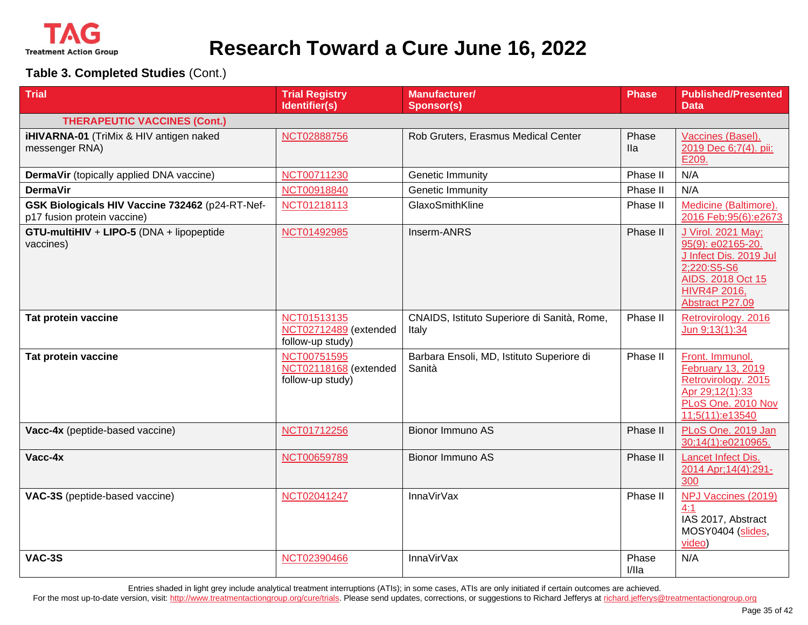

**Table 3. Completed Studies** (Cont.)

| <b>Trial</b>                                                                   | <b>Trial Registry</b><br>Identifier(s)                   | <b>Manufacturer/</b><br><b>Sponsor(s)</b>            | <b>Phase</b>        | <b>Published/Presented</b><br>Data                                                                                                              |
|--------------------------------------------------------------------------------|----------------------------------------------------------|------------------------------------------------------|---------------------|-------------------------------------------------------------------------------------------------------------------------------------------------|
| <b>THERAPEUTIC VACCINES (Cont.)</b>                                            |                                                          |                                                      |                     |                                                                                                                                                 |
| iHIVARNA-01 (TriMix & HIV antigen naked<br>messenger RNA)                      | NCT02888756                                              | Rob Gruters, Erasmus Medical Center                  | Phase<br><b>Ila</b> | Vaccines (Basel).<br>2019 Dec 6;7(4). pii:<br>E209.                                                                                             |
| DermaVir (topically applied DNA vaccine)                                       | NCT00711230                                              | <b>Genetic Immunity</b>                              | Phase II            | N/A                                                                                                                                             |
| <b>DermaVir</b>                                                                | NCT00918840                                              | Genetic Immunity                                     | Phase II            | N/A                                                                                                                                             |
| GSK Biologicals HIV Vaccine 732462 (p24-RT-Nef-<br>p17 fusion protein vaccine) | NCT01218113                                              | GlaxoSmithKline                                      | Phase II            | Medicine (Baltimore).<br>2016 Feb; 95(6): e2673                                                                                                 |
| GTU-multiHIV + LIPO-5 (DNA + lipopeptide<br>vaccines)                          | NCT01492985                                              | Inserm-ANRS                                          | Phase II            | J Virol. 2021 May;<br>95(9): e02165-20.<br>J Infect Dis. 2019 Jul<br>2;220:S5-S6<br>AIDS. 2018 Oct 15<br><b>HIVR4P 2016,</b><br>Abstract P27.09 |
| Tat protein vaccine                                                            | NCT01513135<br>NCT02712489 (extended<br>follow-up study) | CNAIDS, Istituto Superiore di Sanità, Rome,<br>Italy | Phase II            | Retrovirology. 2016<br>Jun 9;13(1):34                                                                                                           |
| Tat protein vaccine                                                            | NCT00751595<br>NCT02118168 (extended<br>follow-up study) | Barbara Ensoli, MD, Istituto Superiore di<br>Sanità  | Phase II            | Front. Immunol.<br>February 13, 2019<br>Retrovirology. 2015<br>Apr 29;12(1):33<br>PLoS One. 2010 Nov<br>11;5(11):e13540                         |
| Vacc-4x (peptide-based vaccine)                                                | NCT01712256                                              | Bionor Immuno AS                                     | Phase II            | PLoS One. 2019 Jan<br>30;14(1):e0210965.                                                                                                        |
| Vacc-4x                                                                        | NCT00659789                                              | Bionor Immuno AS                                     | Phase II            | Lancet Infect Dis.<br>2014 Apr; 14(4): 291-<br>300                                                                                              |
| VAC-3S (peptide-based vaccine)                                                 | NCT02041247                                              | <b>InnaVirVax</b>                                    | Phase II            | NPJ Vaccines (2019)<br>4:1<br>IAS 2017, Abstract<br>MOSY0404 (slides,<br>video)                                                                 |
| <b>VAC-3S</b>                                                                  | NCT02390466                                              | <b>InnaVirVax</b>                                    | Phase<br>I/lla      | N/A                                                                                                                                             |

Entries shaded in light grey include analytical treatment interruptions (ATIs); in some cases, ATIs are only initiated if certain outcomes are achieved.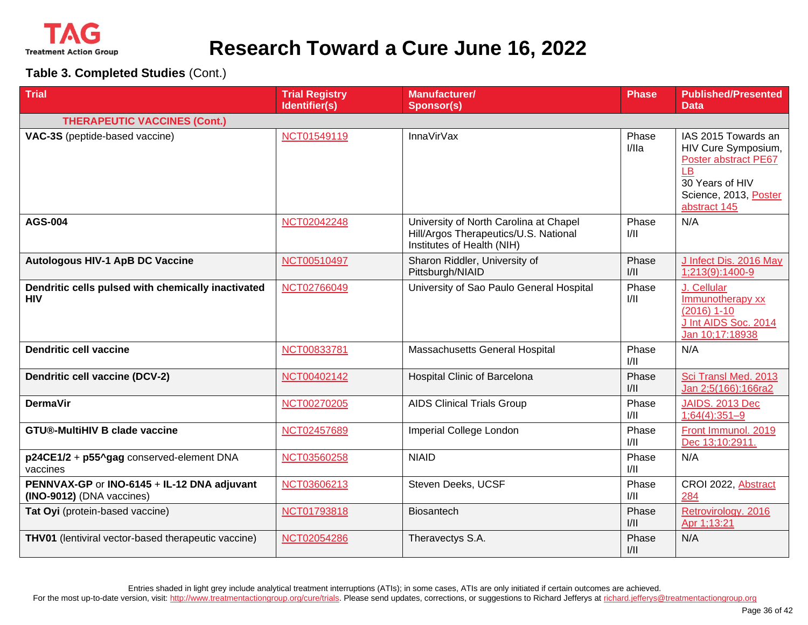

**Table 3. Completed Studies** (Cont.)

| <b>Trial</b>                                                             | <b>Trial Registry</b><br>Identifier(s) | <b>Manufacturer/</b><br><b>Sponsor(s)</b>                                                                     | <b>Phase</b>   | <b>Published/Presented</b><br>Data                                                                                                   |
|--------------------------------------------------------------------------|----------------------------------------|---------------------------------------------------------------------------------------------------------------|----------------|--------------------------------------------------------------------------------------------------------------------------------------|
| <b>THERAPEUTIC VACCINES (Cont.)</b>                                      |                                        |                                                                                                               |                |                                                                                                                                      |
| VAC-3S (peptide-based vaccine)                                           | NCT01549119                            | <b>InnaVirVax</b>                                                                                             | Phase<br>I/IIa | IAS 2015 Towards an<br>HIV Cure Symposium,<br>Poster abstract PE67<br>LB<br>30 Years of HIV<br>Science, 2013, Poster<br>abstract 145 |
| <b>AGS-004</b>                                                           | NCT02042248                            | University of North Carolina at Chapel<br>Hill/Argos Therapeutics/U.S. National<br>Institutes of Health (NIH) | Phase<br>1/11  | N/A                                                                                                                                  |
| <b>Autologous HIV-1 ApB DC Vaccine</b>                                   | NCT00510497                            | Sharon Riddler, University of<br>Pittsburgh/NIAID                                                             | Phase<br>1/11  | J Infect Dis. 2016 May<br>1;213(9):1400-9                                                                                            |
| Dendritic cells pulsed with chemically inactivated<br><b>HIV</b>         | NCT02766049                            | University of Sao Paulo General Hospital                                                                      | Phase<br>1/11  | J. Cellular<br>Immunotherapy xx<br>$(2016)$ 1-10<br>J Int AIDS Soc. 2014<br>Jan 10;17:18938                                          |
| <b>Dendritic cell vaccine</b>                                            | NCT00833781                            | Massachusetts General Hospital                                                                                | Phase<br>1/11  | N/A                                                                                                                                  |
| Dendritic cell vaccine (DCV-2)                                           | NCT00402142                            | <b>Hospital Clinic of Barcelona</b>                                                                           | Phase<br>1/11  | Sci Transl Med. 2013<br>Jan 2;5(166):166ra2                                                                                          |
| <b>DermaVir</b>                                                          | NCT00270205                            | <b>AIDS Clinical Trials Group</b>                                                                             | Phase<br>1/11  | <b>JAIDS. 2013 Dec</b><br>$1;64(4):351-9$                                                                                            |
| <b>GTU®-MultiHIV B clade vaccine</b>                                     | NCT02457689                            | Imperial College London                                                                                       | Phase<br>1/11  | Front Immunol. 2019<br>Dec 13;10:2911.                                                                                               |
| p24CE1/2 + p55^gag conserved-element DNA<br>vaccines                     | NCT03560258                            | <b>NIAID</b>                                                                                                  | Phase<br>1/11  | N/A                                                                                                                                  |
| PENNVAX-GP or INO-6145 + IL-12 DNA adjuvant<br>(INO-9012) (DNA vaccines) | NCT03606213                            | Steven Deeks, UCSF                                                                                            | Phase<br>1/11  | CROI 2022, Abstract<br>284                                                                                                           |
| Tat Oyi (protein-based vaccine)                                          | NCT01793818                            | <b>Biosantech</b>                                                                                             | Phase<br>1/11  | Retrovirology. 2016<br>Apr 1;13:21                                                                                                   |
| <b>THV01</b> (lentiviral vector-based therapeutic vaccine)               | NCT02054286                            | Theravectys S.A.                                                                                              | Phase<br>1/11  | N/A                                                                                                                                  |

Entries shaded in light grey include analytical treatment interruptions (ATIs); in some cases, ATIs are only initiated if certain outcomes are achieved.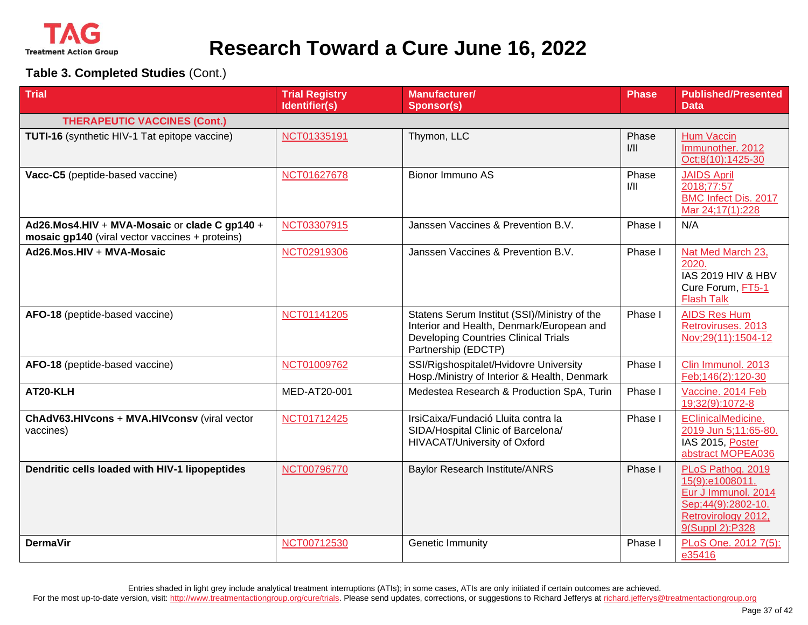

**Table 3. Completed Studies** (Cont.)

| <b>Trial</b>                                                                                     | <b>Trial Registry</b><br>Identifier(s) | <b>Manufacturer/</b><br><b>Sponsor(s)</b>                                                                                                                       | <b>Phase</b>  | <b>Published/Presented</b><br><b>Data</b>                                                                                   |
|--------------------------------------------------------------------------------------------------|----------------------------------------|-----------------------------------------------------------------------------------------------------------------------------------------------------------------|---------------|-----------------------------------------------------------------------------------------------------------------------------|
| <b>THERAPEUTIC VACCINES (Cont.)</b>                                                              |                                        |                                                                                                                                                                 |               |                                                                                                                             |
| <b>TUTI-16</b> (synthetic HIV-1 Tat epitope vaccine)                                             | NCT01335191                            | Thymon, LLC                                                                                                                                                     | Phase<br>1/11 | <b>Hum Vaccin</b><br>Immunother. 2012<br>Oct;8(10):1425-30                                                                  |
| Vacc-C5 (peptide-based vaccine)                                                                  | NCT01627678                            | Bionor Immuno AS                                                                                                                                                | Phase<br>1/11 | <b>JAIDS April</b><br>2018;77:57<br><b>BMC Infect Dis. 2017</b><br>Mar 24;17(1):228                                         |
| Ad26.Mos4.HIV + MVA-Mosaic or clade C gp140 +<br>mosaic gp140 (viral vector vaccines + proteins) | NCT03307915                            | Janssen Vaccines & Prevention B.V.                                                                                                                              | Phase I       | N/A                                                                                                                         |
| Ad26.Mos.HIV + MVA-Mosaic                                                                        | NCT02919306                            | Janssen Vaccines & Prevention B.V.                                                                                                                              | Phase I       | Nat Med March 23,<br>2020.<br><b>IAS 2019 HIV &amp; HBV</b><br>Cure Forum, FT5-1<br><b>Flash Talk</b>                       |
| AFO-18 (peptide-based vaccine)                                                                   | NCT01141205                            | Statens Serum Institut (SSI)/Ministry of the<br>Interior and Health, Denmark/European and<br><b>Developing Countries Clinical Trials</b><br>Partnership (EDCTP) | Phase I       | <b>AIDS Res Hum</b><br>Retroviruses. 2013<br>Nov;29(11):1504-12                                                             |
| AFO-18 (peptide-based vaccine)                                                                   | NCT01009762                            | SSI/Rigshospitalet/Hvidovre University<br>Hosp./Ministry of Interior & Health, Denmark                                                                          | Phase I       | Clin Immunol. 2013<br>Feb;146(2):120-30                                                                                     |
| AT20-KLH                                                                                         | MED-AT20-001                           | Medestea Research & Production SpA, Turin                                                                                                                       | Phase I       | Vaccine. 2014 Feb<br>19;32(9):1072-8                                                                                        |
| ChAdV63.HIVcons + MVA.HIVconsv (viral vector<br>vaccines)                                        | NCT01712425                            | IrsiCaixa/Fundació Lluita contra la<br>SIDA/Hospital Clinic of Barcelona/<br>HIVACAT/University of Oxford                                                       | Phase I       | EClinicalMedicine.<br>2019 Jun 5;11:65-80.<br>IAS 2015, Poster<br>abstract MOPEA036                                         |
| Dendritic cells loaded with HIV-1 lipopeptides                                                   | NCT00796770                            | <b>Baylor Research Institute/ANRS</b>                                                                                                                           | Phase I       | PLoS Pathog. 2019<br>15(9):e1008011.<br>Eur J Immunol. 2014<br>Sep;44(9):2802-10.<br>Retrovirology 2012,<br>9(Suppl 2):P328 |
| <b>DermaVir</b>                                                                                  | NCT00712530                            | Genetic Immunity                                                                                                                                                | Phase I       | PLoS One. 2012 7(5):<br>e35416                                                                                              |

Entries shaded in light grey include analytical treatment interruptions (ATIs); in some cases, ATIs are only initiated if certain outcomes are achieved.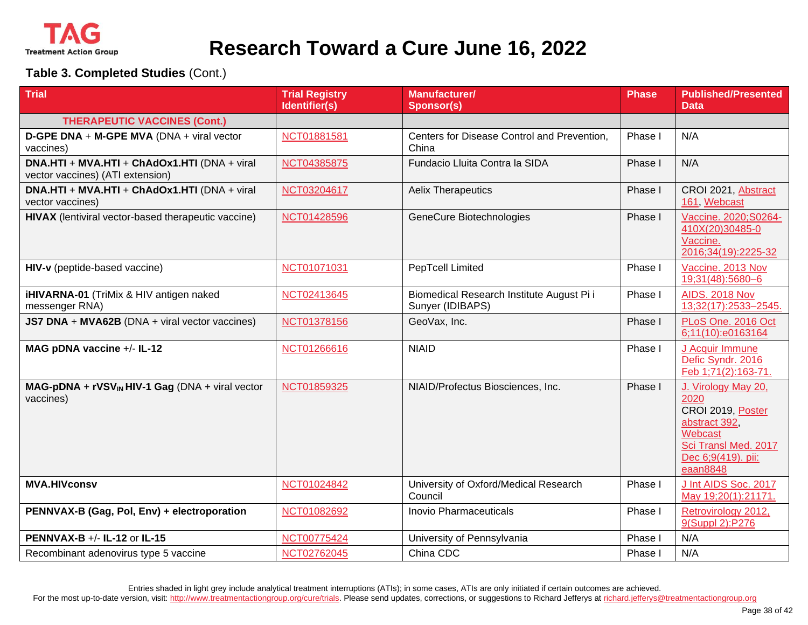

**Table 3. Completed Studies** (Cont.)

| <b>Trial</b>                                                                     | <b>Trial Registry</b><br>Identifier(s) | <b>Manufacturer/</b><br><b>Sponsor(s)</b>                     | <b>Phase</b> | <b>Published/Presented</b><br><b>Data</b>                                                                                              |
|----------------------------------------------------------------------------------|----------------------------------------|---------------------------------------------------------------|--------------|----------------------------------------------------------------------------------------------------------------------------------------|
| <b>THERAPEUTIC VACCINES (Cont.)</b>                                              |                                        |                                                               |              |                                                                                                                                        |
| D-GPE DNA + M-GPE MVA (DNA + viral vector<br>vaccines)                           | NCT01881581                            | Centers for Disease Control and Prevention,<br>China          | Phase I      | N/A                                                                                                                                    |
| DNA.HTI + MVA.HTI + ChAdOx1.HTI (DNA + viral<br>vector vaccines) (ATI extension) | NCT04385875                            | Fundacio Lluita Contra la SIDA                                | Phase I      | N/A                                                                                                                                    |
| DNA.HTI + MVA.HTI + ChAdOx1.HTI (DNA + viral<br>vector vaccines)                 | NCT03204617                            | <b>Aelix Therapeutics</b>                                     | Phase I      | CROI 2021, Abstract<br>161, Webcast                                                                                                    |
| HIVAX (lentiviral vector-based therapeutic vaccine)                              | NCT01428596                            | GeneCure Biotechnologies                                      | Phase I      | Vaccine. 2020; S0264-<br>410X(20)30485-0<br>Vaccine.<br>2016;34(19):2225-32                                                            |
| HIV-v (peptide-based vaccine)                                                    | NCT01071031                            | PepTcell Limited                                              | Phase I      | Vaccine. 2013 Nov<br>19;31(48):5680-6                                                                                                  |
| iHIVARNA-01 (TriMix & HIV antigen naked<br>messenger RNA)                        | NCT02413645                            | Biomedical Research Institute August Pi i<br>Sunyer (IDIBAPS) | Phase I      | <b>AIDS. 2018 Nov</b><br>13;32(17):2533-2545.                                                                                          |
| JS7 DNA + MVA62B (DNA + viral vector vaccines)                                   | NCT01378156                            | GeoVax, Inc.                                                  | Phase I      | PLoS One. 2016 Oct<br>6;11(10):e0163164                                                                                                |
| MAG pDNA vaccine +/- IL-12                                                       | NCT01266616                            | <b>NIAID</b>                                                  | Phase I      | J Acquir Immune<br>Defic Syndr. 2016<br>Feb 1;71(2):163-71.                                                                            |
| $MAG-pDNA + rVSVIN HIV-1 Gag (DNA + viral vector)$<br>vaccines)                  | NCT01859325                            | NIAID/Profectus Biosciences, Inc.                             | Phase I      | J. Virology May 20,<br>2020<br>CROI 2019, Poster<br>abstract 392,<br>Webcast<br>Sci Transl Med. 2017<br>Dec 6;9(419). pii:<br>eaan8848 |
| <b>MVA.HIVconsv</b>                                                              | NCT01024842                            | University of Oxford/Medical Research<br>Council              | Phase I      | J Int AIDS Soc. 2017<br>May 19;20(1):21171.                                                                                            |
| PENNVAX-B (Gag, Pol, Env) + electroporation                                      | NCT01082692                            | Inovio Pharmaceuticals                                        | Phase I      | Retrovirology 2012,<br>9(Suppl 2):P276                                                                                                 |
| <b>PENNVAX-B +/- IL-12 or IL-15</b>                                              | NCT00775424                            | University of Pennsylvania                                    | Phase I      | N/A                                                                                                                                    |
| Recombinant adenovirus type 5 vaccine                                            | NCT02762045                            | China CDC                                                     | Phase I      | N/A                                                                                                                                    |

Entries shaded in light grey include analytical treatment interruptions (ATIs); in some cases, ATIs are only initiated if certain outcomes are achieved.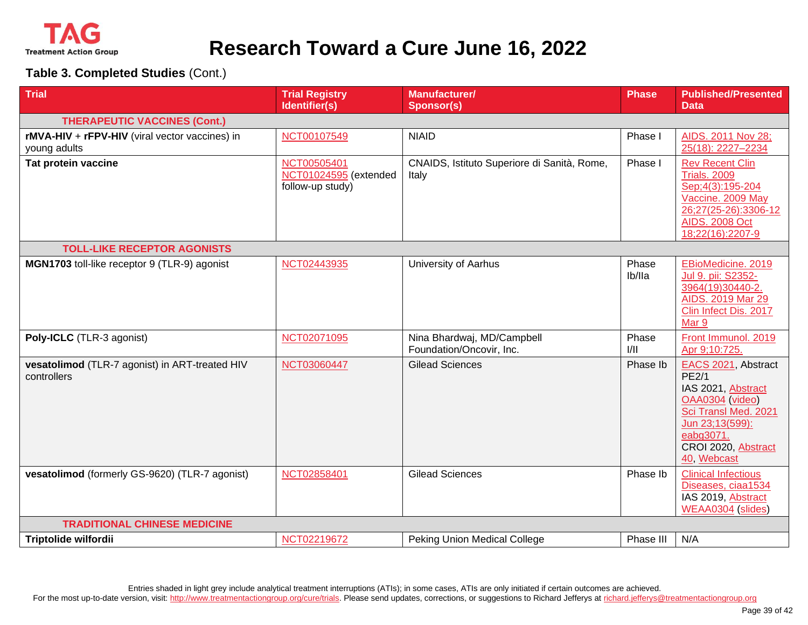

**Table 3. Completed Studies** (Cont.)

| <b>Trial</b>                                                   | <b>Trial Registry</b><br>Identifier(s)                   | <b>Manufacturer/</b><br><b>Sponsor(s)</b>              | <b>Phase</b>    | <b>Published/Presented</b><br><b>Data</b>                                                                                                                                  |  |  |
|----------------------------------------------------------------|----------------------------------------------------------|--------------------------------------------------------|-----------------|----------------------------------------------------------------------------------------------------------------------------------------------------------------------------|--|--|
| <b>THERAPEUTIC VACCINES (Cont.)</b>                            |                                                          |                                                        |                 |                                                                                                                                                                            |  |  |
| rMVA-HIV + rFPV-HIV (viral vector vaccines) in<br>young adults | NCT00107549                                              | <b>NIAID</b>                                           | Phase I         | AIDS. 2011 Nov 28;<br>25(18): 2227-2234                                                                                                                                    |  |  |
| Tat protein vaccine                                            | NCT00505401<br>NCT01024595 (extended<br>follow-up study) | CNAIDS, Istituto Superiore di Sanità, Rome,<br>Italy   | Phase I         | <b>Rev Recent Clin</b><br><b>Trials. 2009</b><br>Sep; 4(3): 195-204<br>Vaccine. 2009 May<br>26;27(25-26):3306-12<br><b>AIDS. 2008 Oct</b><br>18;22(16):2207-9              |  |  |
| <b>TOLL-LIKE RECEPTOR AGONISTS</b>                             |                                                          |                                                        |                 |                                                                                                                                                                            |  |  |
| MGN1703 toll-like receptor 9 (TLR-9) agonist                   | NCT02443935                                              | University of Aarhus                                   | Phase<br>lb/lla | EBioMedicine. 2019<br>Jul 9. pii: S2352-<br>3964(19)30440-2.<br>AIDS. 2019 Mar 29<br>Clin Infect Dis. 2017<br>Mar 9                                                        |  |  |
| Poly-ICLC (TLR-3 agonist)                                      | NCT02071095                                              | Nina Bhardwaj, MD/Campbell<br>Foundation/Oncovir, Inc. | Phase<br>1/11   | Front Immunol. 2019<br>Apr 9;10:725.                                                                                                                                       |  |  |
| vesatolimod (TLR-7 agonist) in ART-treated HIV<br>controllers  | NCT03060447                                              | <b>Gilead Sciences</b>                                 | Phase Ib        | EACS 2021, Abstract<br><b>PE2/1</b><br>IAS 2021, Abstract<br>OAA0304 (video)<br>Sci Transl Med. 2021<br>Jun 23;13(599):<br>eabg3071.<br>CROI 2020, Abstract<br>40, Webcast |  |  |
| vesatolimod (formerly GS-9620) (TLR-7 agonist)                 | NCT02858401                                              | <b>Gilead Sciences</b>                                 | Phase Ib        | <b>Clinical Infectious</b><br>Diseases, ciaa1534<br>IAS 2019, Abstract<br>WEAA0304 (slides)                                                                                |  |  |
| <b>TRADITIONAL CHINESE MEDICINE</b>                            |                                                          |                                                        |                 |                                                                                                                                                                            |  |  |
| <b>Triptolide wilfordii</b>                                    | NCT02219672                                              | <b>Peking Union Medical College</b>                    | Phase III       | N/A                                                                                                                                                                        |  |  |

Entries shaded in light grey include analytical treatment interruptions (ATIs); in some cases, ATIs are only initiated if certain outcomes are achieved.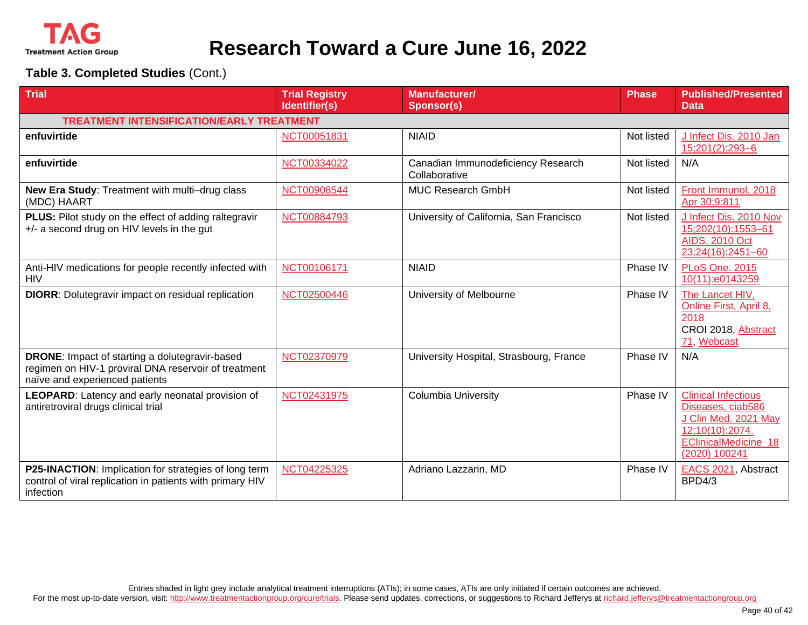

| <b>Trial</b>                                                                                                                                    | <b>Trial Registry</b><br>Identifier(s) | <b>Manufacturer/</b><br><b>Sponsor(s)</b>           | <b>Phase</b> | <b>Published/Presented</b><br><b>Data</b>                                                                                           |
|-------------------------------------------------------------------------------------------------------------------------------------------------|----------------------------------------|-----------------------------------------------------|--------------|-------------------------------------------------------------------------------------------------------------------------------------|
| <b>TREATMENT INTENSIFICATION/EARLY TREATMENT</b>                                                                                                |                                        |                                                     |              |                                                                                                                                     |
| enfuvirtide                                                                                                                                     | NCT00051831                            | <b>NIAID</b>                                        | Not listed   | J Infect Dis. 2010 Jan<br>15;201(2):293-6                                                                                           |
| enfuvirtide                                                                                                                                     | NCT00334022                            | Canadian Immunodeficiency Research<br>Collaborative | Not listed   | N/A                                                                                                                                 |
| New Era Study: Treatment with multi-drug class<br>(MDC) HAART                                                                                   | NCT00908544                            | <b>MUC Research GmbH</b>                            | Not listed   | Front Immunol. 2018<br>Apr 30;9:811                                                                                                 |
| PLUS: Pilot study on the effect of adding raltegravir<br>+/- a second drug on HIV levels in the gut                                             | NCT00884793                            | University of California, San Francisco             | Not listed   | J Infect Dis. 2010 Nov<br>15;202(10):1553-61<br><b>AIDS. 2010 Oct</b><br>23;24(16):2451-60                                          |
| Anti-HIV medications for people recently infected with<br><b>HIV</b>                                                                            | NCT00106171                            | <b>NIAID</b>                                        | Phase IV     | <b>PLoS One. 2015</b><br>10(11):e0143259                                                                                            |
| <b>DIORR:</b> Dolutegravir impact on residual replication                                                                                       | NCT02500446                            | University of Melbourne                             | Phase IV     | The Lancet HIV,<br>Online First, April 8,<br>2018<br>CROI 2018, Abstract<br>71, Webcast                                             |
| <b>DRONE:</b> Impact of starting a dolutegravir-based<br>regimen on HIV-1 proviral DNA reservoir of treatment<br>naïve and experienced patients | NCT02370979                            | University Hospital, Strasbourg, France             | Phase IV     | N/A                                                                                                                                 |
| LEOPARD: Latency and early neonatal provision of<br>antiretroviral drugs clinical trial                                                         | NCT02431975                            | <b>Columbia University</b>                          | Phase IV     | <b>Clinical Infectious</b><br>Diseases, ciab586<br>J Clin Med. 2021 May<br>12;10(10):2074.<br>EClinicalMedicine 18<br>(2020) 100241 |
| P25-INACTION: Implication for strategies of long term<br>control of viral replication in patients with primary HIV<br>infection                 | NCT04225325                            | Adriano Lazzarin, MD                                | Phase IV     | EACS 2021, Abstract<br>BPD4/3                                                                                                       |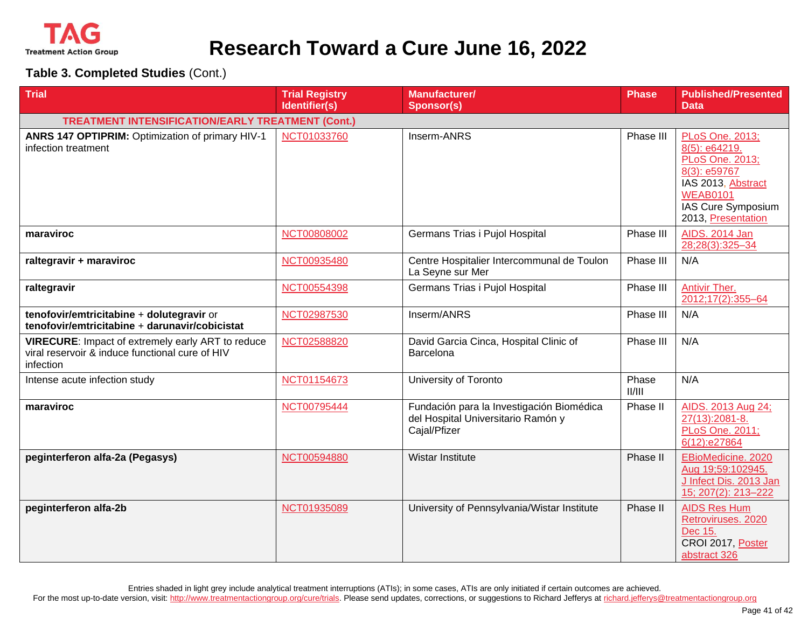

**Table 3. Completed Studies** (Cont.)

| <b>Trial</b>                                                                                                      | <b>Trial Registry</b><br>Identifier(s) | <b>Manufacturer/</b><br><b>Sponsor(s)</b>                                                       | <b>Phase</b>    | <b>Published/Presented</b><br><b>Data</b>                                                                                                                |
|-------------------------------------------------------------------------------------------------------------------|----------------------------------------|-------------------------------------------------------------------------------------------------|-----------------|----------------------------------------------------------------------------------------------------------------------------------------------------------|
| <b>TREATMENT INTENSIFICATION/EARLY TREATMENT (Cont.)</b>                                                          |                                        |                                                                                                 |                 |                                                                                                                                                          |
|                                                                                                                   |                                        |                                                                                                 |                 |                                                                                                                                                          |
| ANRS 147 OPTIPRIM: Optimization of primary HIV-1<br>infection treatment                                           | NCT01033760                            | Inserm-ANRS                                                                                     | Phase III       | PLoS One. 2013;<br>8(5): e64219.<br>PLoS One. 2013;<br>8(3): e59767<br>IAS 2013, Abstract<br><b>WEAB0101</b><br>IAS Cure Symposium<br>2013, Presentation |
| maraviroc                                                                                                         | NCT00808002                            | Germans Trias i Pujol Hospital                                                                  | Phase III       | <b>AIDS. 2014 Jan</b><br>28;28(3):325-34                                                                                                                 |
| raltegravir + maraviroc                                                                                           | NCT00935480                            | Centre Hospitalier Intercommunal de Toulon<br>La Seyne sur Mer                                  | Phase III       | N/A                                                                                                                                                      |
| raltegravir                                                                                                       | NCT00554398                            | Germans Trias i Pujol Hospital                                                                  | Phase III       | Antivir Ther.<br>2012;17(2):355-64                                                                                                                       |
| tenofovir/emtricitabine + dolutegravir or<br>tenofovir/emtricitabine + darunavir/cobicistat                       | NCT02987530                            | Inserm/ANRS                                                                                     | Phase III       | N/A                                                                                                                                                      |
| VIRECURE: Impact of extremely early ART to reduce<br>viral reservoir & induce functional cure of HIV<br>infection | NCT02588820                            | David Garcia Cinca, Hospital Clinic of<br>Barcelona                                             | Phase III       | N/A                                                                                                                                                      |
| Intense acute infection study                                                                                     | NCT01154673                            | University of Toronto                                                                           | Phase<br>II/III | N/A                                                                                                                                                      |
| maraviroc                                                                                                         | NCT00795444                            | Fundación para la Investigación Biomédica<br>del Hospital Universitario Ramón y<br>Cajal/Pfizer | Phase II        | AIDS. 2013 Aug 24;<br>27(13):2081-8.<br>PLoS One. 2011;<br>6(12):e27864                                                                                  |
| peginterferon alfa-2a (Pegasys)                                                                                   | NCT00594880                            | Wistar Institute                                                                                | Phase II        | EBioMedicine. 2020<br>Aug 19;59:102945.<br>J Infect Dis. 2013 Jan<br>15; 207(2): 213-222                                                                 |
| peginterferon alfa-2b                                                                                             | NCT01935089                            | University of Pennsylvania/Wistar Institute                                                     | Phase II        | <b>AIDS Res Hum</b><br>Retroviruses. 2020<br>Dec 15.<br>CROI 2017, Poster<br>abstract 326                                                                |

Entries shaded in light grey include analytical treatment interruptions (ATIs); in some cases, ATIs are only initiated if certain outcomes are achieved.